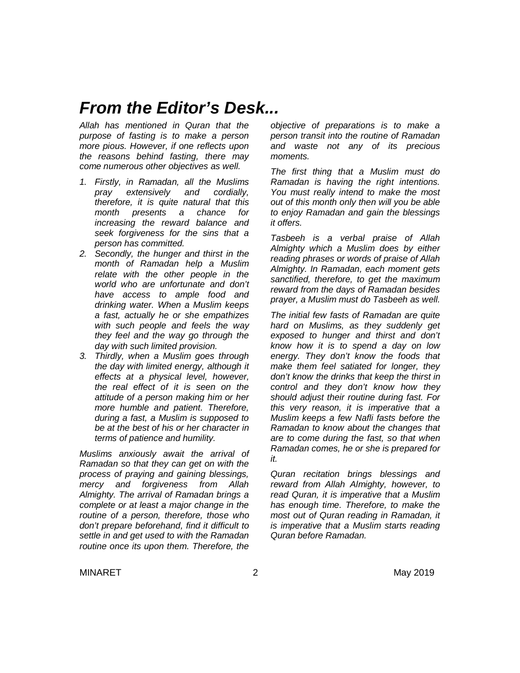### *From the Editor's Desk...*

*Allah has mentioned in Quran that the purpose of fasting is to make a person more pious. However, if one reflects upon the reasons behind fasting, there may come numerous other objectives as well.*

- *1. Firstly, in Ramadan, all the Muslims pray extensively and cordially, therefore, it is quite natural that this month presents a chance for increasing the reward balance and seek forgiveness for the sins that a person has committed.*
- *2. Secondly, the hunger and thirst in the month of Ramadan help a Muslim relate with the other people in the world who are unfortunate and don't have access to ample food and drinking water. When a Muslim keeps a fast, actually he or she empathizes with such people and feels the way they feel and the way go through the day with such limited provision.*
- *3. Thirdly, when a Muslim goes through the day with limited energy, although it effects at a physical level, however, the real effect of it is seen on the attitude of a person making him or her more humble and patient. Therefore, during a fast, a Muslim is supposed to be at the best of his or her character in terms of patience and humility.*

*Muslims anxiously await the arrival of Ramadan so that they can get on with the process of praying and gaining blessings, mercy and forgiveness from Allah Almighty. The arrival of Ramadan brings a complete or at least a major change in the routine of a person, therefore, those who don't prepare beforehand, find it difficult to settle in and get used to with the Ramadan routine once its upon them. Therefore, the* 

*objective of preparations is to make a person transit into the routine of Ramadan and waste not any of its precious moments.*

*The first thing that a Muslim must do Ramadan is having the right intentions. You must really intend to make the most out of this month only then will you be able to enjoy Ramadan and gain the blessings it offers.*

*Tasbeeh is a verbal praise of Allah Almighty which a Muslim does by either reading phrases or words of praise of Allah Almighty. In Ramadan, each moment gets sanctified, therefore, to get the maximum reward from the days of Ramadan besides prayer, a Muslim must do Tasbeeh as well.*

*The initial few fasts of Ramadan are quite hard on Muslims, as they suddenly get exposed to hunger and thirst and don't know how it is to spend a day on low energy. They don't know the foods that make them feel satiated for longer, they don't know the drinks that keep the thirst in control and they don't know how they should adjust their routine during fast. For this very reason, it is imperative that a Muslim keeps a few Nafli fasts before the Ramadan to know about the changes that are to come during the fast, so that when Ramadan comes, he or she is prepared for it.*

*Quran recitation brings blessings and reward from Allah Almighty, however, to read Quran, it is imperative that a Muslim has enough time. Therefore, to make the most out of Quran reading in Ramadan, it is imperative that a Muslim starts reading Quran before Ramadan.*

MINARET 2 May 2019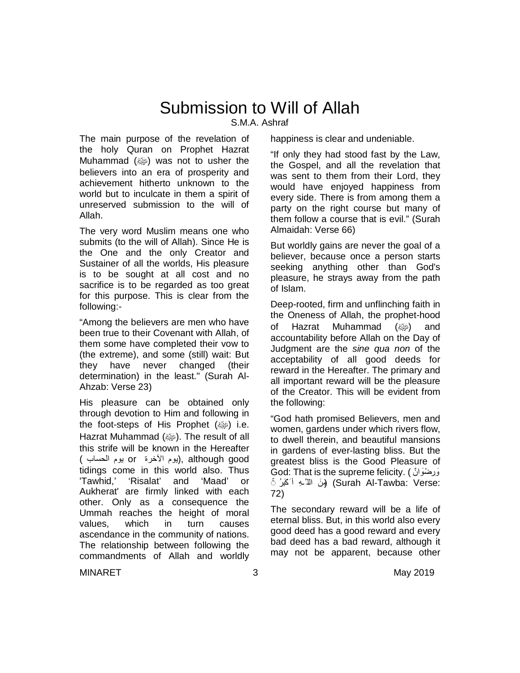# Submission to Will of Allah

S.M.A. Ashraf

The main purpose of the revelation of the holy Quran on Prophet Hazrat Muhammad  $(\omega)$  was not to usher the believers into an era of prosperity and achievement hitherto unknown to the world but to inculcate in them a spirit of unreserved submission to the will of Allah.

The very word Muslim means one who submits (to the will of Allah). Since He is the One and the only Creator and Sustainer of all the worlds, His pleasure is to be sought at all cost and no sacrifice is to be regarded as too great for this purpose. This is clear from the following:-

"Among the believers are men who have been true to their Covenant with Allah, of them some have completed their vow to (the extreme), and some (still) wait: But they have never changed (their determination) in the least." (Surah Al-Ahzab: Verse 23)

His pleasure can be obtained only through devotion to Him and following in the foot-steps of His Prophet (@) i.e. Hazrat Muhammad (ﷺ). The result of all this strife will be known in the Hereafter good although ,)یوم الآخرة or یوم الحساب ) tidings come in this world also. Thus 'Tawhid,' 'Risalat' and 'Maad' or Aukherat' are firmly linked with each other. Only as a consequence the Ummah reaches the height of moral values, which in turn causes ascendance in the community of nations. The relationship between following the commandments of Allah and worldly happiness is clear and undeniable.

"If only they had stood fast by the Law, the Gospel, and all the revelation that was sent to them from their Lord, they would have enjoyed happiness from every side. There is from among them a party on the right course but many of them follow a course that is evil." (Surah Almaidah: Verse 66)

But worldly gains are never the goal of a believer, because once a person starts seeking anything other than God's pleasure, he strays away from the path of Islam.

Deep-rooted, firm and unflinching faith in the Oneness of Allah, the prophet-hood of Hazrat Muhammad (ﷺ) and accountability before Allah on the Day of Judgment are the *sine qua non* of the acceptability of all good deeds for reward in the Hereafter. The primary and all important reward will be the pleasure of the Creator. This will be evident from the following:

"God hath promised Believers, men and women, gardens under which rivers flow, to dwell therein, and beautiful mansions in gardens of ever-lasting bliss. But the greatest bliss is the Good Pleasure of God: That is the supreme felicity. ( ٌان َوْض ِر َو :Verse :Tawba-Al Surah) (مِنَ الل َّـھِ أ َكْبَرُ ◌ۚ 72)

The secondary reward will be a life of eternal bliss. But, in this world also every good deed has a good reward and every bad deed has a bad reward, although it may not be apparent, because other

MINARET 3 3 May 2019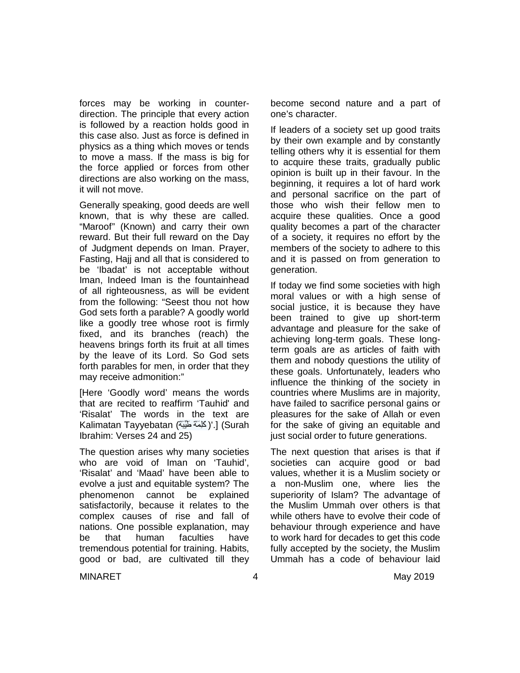forces may be working in counterdirection. The principle that every action is followed by a reaction holds good in this case also. Just as force is defined in physics as a thing which moves or tends to move a mass. If the mass is big for the force applied or forces from other directions are also working on the mass, it will not move.

Generally speaking, good deeds are well known, that is why these are called. "Maroof" (Known) and carry their own reward. But their full reward on the Day of Judgment depends on Iman. Prayer, Fasting, Hajj and all that is considered to be 'Ibadat' is not acceptable without Iman, Indeed Iman is the fountainhead of all righteousness, as will be evident from the following: "Seest thou not how God sets forth a parable? A goodly world like a goodly tree whose root is firmly fixed, and its branches (reach) the heavens brings forth its fruit at all times by the leave of its Lord. So God sets forth parables for men, in order that they may receive admonition:"

[Here 'Goodly word' means the words that are recited to reaffirm 'Tauhid' and 'Risalat' The words in the text are Kalimatan Tayyebatan (الْكَلِمَةَ طَبِّبَةً ) .] (Surah Ibrahim: Verses 24 and 25)

The question arises why many societies who are void of Iman on 'Tauhid', 'Risalat' and 'Maad' have been able to evolve a just and equitable system? The phenomenon cannot be explained satisfactorily, because it relates to the complex causes of rise and fall of nations. One possible explanation, may be that human faculties have tremendous potential for training. Habits, good or bad, are cultivated till they become second nature and a part of one's character.

If leaders of a society set up good traits by their own example and by constantly telling others why it is essential for them to acquire these traits, gradually public opinion is built up in their favour. In the beginning, it requires a lot of hard work and personal sacrifice on the part of those who wish their fellow men to acquire these qualities. Once a good quality becomes a part of the character of a society, it requires no effort by the members of the society to adhere to this and it is passed on from generation to generation.

If today we find some societies with high moral values or with a high sense of social justice, it is because they have been trained to give up short-term advantage and pleasure for the sake of achieving long-term goals. These longterm goals are as articles of faith with them and nobody questions the utility of these goals. Unfortunately, leaders who influence the thinking of the society in countries where Muslims are in majority, have failed to sacrifice personal gains or pleasures for the sake of Allah or even for the sake of giving an equitable and just social order to future generations.

The next question that arises is that if societies can acquire good or bad values, whether it is a Muslim society or a non-Muslim one, where lies the superiority of Islam? The advantage of the Muslim Ummah over others is that while others have to evolve their code of behaviour through experience and have to work hard for decades to get this code fully accepted by the society, the Muslim Ummah has a code of behaviour laid

MINARET 4 May 2019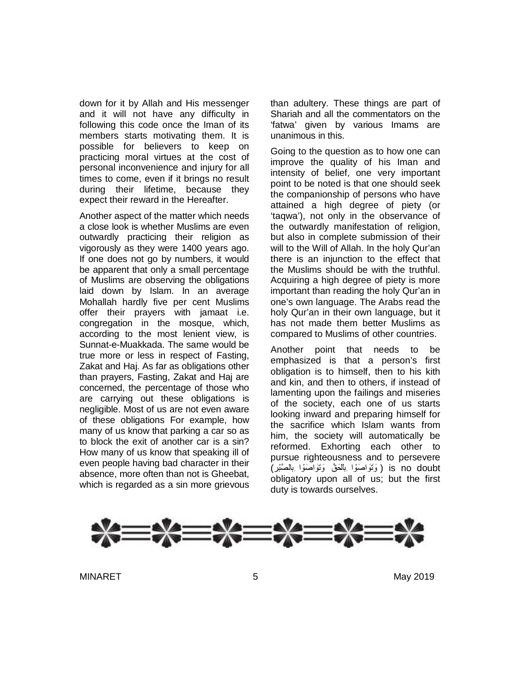down for it by Allah and His messenger and it will not have any difficulty in following this code once the Iman of its members starts motivating them. It is possible for believers to keep on practicing moral virtues at the cost of personal inconvenience and injury for all times to come, even if it brings no result during their lifetime, because they expect their reward in the Hereafter.

Another aspect of the matter which needs a close look is whether Muslims are even outwardly practicing their religion as vigorously as they were 1400 years ago. If one does not go by numbers, it would be apparent that only a small percentage of Muslims are observing the obligations laid down by Islam. In an average Mohallah hardly five per cent Muslims offer their prayers with jamaat i.e. congregation in the mosque, which, according to the most lenient view, is Sunnat-e-Muakkada. The same would be true more or less in respect of Fasting, Zakat and Haj. As far as obligations other than prayers, Fasting, Zakat and Haj are concerned, the percentage of those who are carrying out these obligations is negligible. Most of us are not even aware of these obligations For example, how many of us know that parking a car so as to block the exit of another car is a sin? How many of us know that speaking ill of even people having bad character in their absence, more often than not is Gheebat, which is regarded as a sin more grievous than adultery. These things are part of Shariah and all the commentators on the 'fatwa' given by various Imams are unanimous in this.

Going to the question as to how one can improve the quality of his Iman and intensity of belief, one very important point to be noted is that one should seek the companionship of persons who have attained a high degree of piety (or 'taqwa'), not only in the observance of the outwardly manifestation of religion, but also in complete submission of their will to the Will of Allah. In the holy Qur'an there is an injunction to the effect that the Muslims should be with the truthful. Acquiring a high degree of piety is more important than reading the holy Qur'an in one's own language. The Arabs read the holy Qur'an in their own language, but it has not made them better Muslims as compared to Muslims of other countries.

Another point that needs to be emphasized is that a person's first obligation is to himself, then to his kith and kin, and then to others, if instead of lamenting upon the failings and miseries of the society, each one of us starts looking inward and preparing himself for the sacrifice which Islam wants from him, the society will automatically be reformed. Exhorting each other to pursue righteousness and to persevere doubt no is ) وَ تَوَ اصَوْ ا بِالْحَقِّ وَ تَوَ اصَوْ ا بِالصَّبْرِ ) obligatory upon all of us; but the first duty is towards ourselves.



MINARET 5 May 2019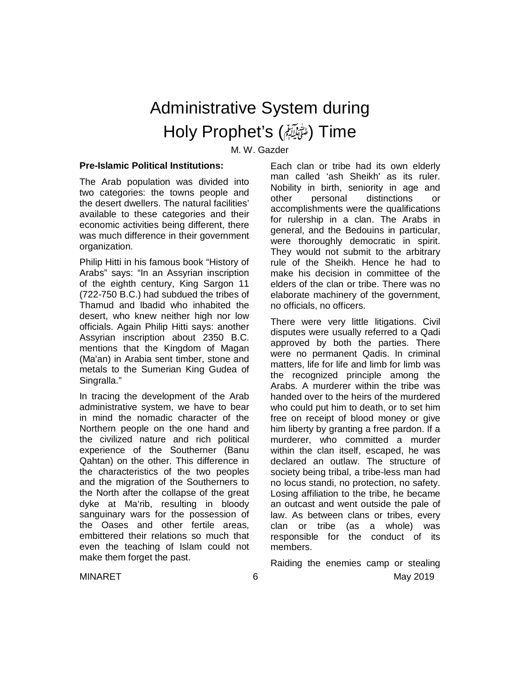# Administrative System during Holy Prophet's (صلى الله عليه وسلم (Time

M. W. Gazder

### **Pre-Islamic Political Institutions:**

The Arab population was divided into two categories: the towns people and the desert dwellers. The natural facilities' available to these categories and their economic activities being different, there was much difference in their government organization.

Philip Hitti in his famous book "History of Arabs" says: "In an Assyrian inscription of the eighth century, King Sargon 11 (722-750 B.C.) had subdued the tribes of Thamud and lbadid who inhabited the desert, who knew neither high nor low officials. Again Philip Hitti says: another Assyrian inscription about 2350 B.C. mentions that the Kingdom of Magan (Ma'an) in Arabia sent timber, stone and metals to the Sumerian King Gudea of Singralla."

In tracing the development of the Arab administrative system, we have to bear in mind the nomadic character of the Northern people on the one hand and the civilized nature and rich political experience of the Southerner (Banu Qahtan) on the other. This difference in the characteristics of the two peoples and the migration of the Southerners to the North after the collapse of the great dyke at Ma'rib, resulting in bloody sanguinary wars for the possession of the Oases and other fertile areas, embittered their relations so much that even the teaching of Islam could not make them forget the past.

Each clan or tribe had its own elderly man called 'ash Sheikh' as its ruler. Nobility in birth, seniority in age and other personal distinctions or accomplishments were the qualifications for rulership in a clan. The Arabs in general, and the Bedouins in particular, were thoroughly democratic in spirit. They would not submit to the arbitrary rule of the Sheikh. Hence he had to make his decision in committee of the elders of the clan or tribe. There was no elaborate machinery of the government, no officials, no officers.

There were very little litigations. Civil disputes were usually referred to a Qadi approved by both the parties. There were no permanent Qadis. In criminal matters, life for life and limb for limb was the recognized principle among the Arabs. A murderer within the tribe was handed over to the heirs of the murdered who could put him to death, or to set him free on receipt of blood money or give him liberty by granting a free pardon. If a murderer, who committed a murder within the clan itself, escaped, he was declared an outlaw. The structure of society being tribal, a tribe-less man had no locus standi, no protection, no safety. Losing affiliation to the tribe, he became an outcast and went outside the pale of law. As between clans or tribes, every clan or tribe (as a whole) was responsible for the conduct of its members.

MINARET 6 May 2019 Raiding the enemies camp or stealing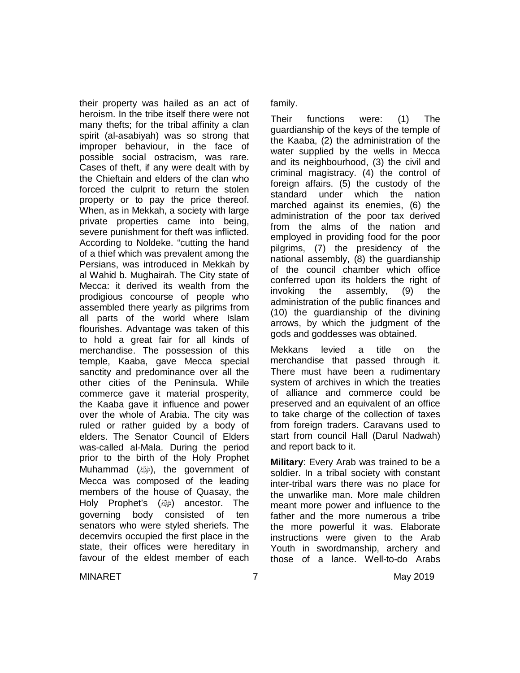their property was hailed as an act of heroism. In the tribe itself there were not many thefts; for the tribal affinity a clan spirit (al-asabiyah) was so strong that improper behaviour, in the face of possible social ostracism, was rare. Cases of theft, if any were dealt with by the Chieftain and elders of the clan who forced the culprit to return the stolen property or to pay the price thereof. When, as in Mekkah, a society with large private properties came into being, severe punishment for theft was inflicted. According to Noldeke. "cutting the hand of a thief which was prevalent among the Persians, was introduced in Mekkah by al Wahid b. Mughairah. The City state of Mecca: it derived its wealth from the prodigious concourse of people who assembled there yearly as pilgrims from all parts of the world where Islam flourishes. Advantage was taken of this to hold a great fair for all kinds of merchandise. The possession of this temple, Kaaba, gave Mecca special sanctity and predominance over all the other cities of the Peninsula. While commerce gave it material prosperity, the Kaaba gave it influence and power over the whole of Arabia. The city was ruled or rather guided by a body of elders. The Senator Council of Elders was-called al-Mala. During the period prior to the birth of the Holy Prophet Muhammad (ﷺ), the government of Mecca was composed of the leading members of the house of Quasay, the Holy Prophet's (ﷺ) ancestor. The governing body consisted of ten senators who were styled sheriefs. The decemvirs occupied the first place in the state, their offices were hereditary in favour of the eldest member of each

family.

Their functions were: (1) The guardianship of the keys of the temple of the Kaaba, (2) the administration of the water supplied by the wells in Mecca and its neighbourhood, (3) the civil and criminal magistracy. (4) the control of foreign affairs. (5) the custody of the standard under which the nation marched against its enemies, (6) the administration of the poor tax derived from the alms of the nation and employed in providing food for the poor pilgrims, (7) the presidency of the national assembly, (8) the guardianship of the council chamber which office conferred upon its holders the right of invoking the assembly, (9) the administration of the public finances and (10) the guardianship of the divining arrows, by which the judgment of the gods and goddesses was obtained.

Mekkans levied a title on the merchandise that passed through it. There must have been a rudimentary system of archives in which the treaties of alliance and commerce could be preserved and an equivalent of an office to take charge of the collection of taxes from foreign traders. Caravans used to start from council Hall (Darul Nadwah) and report back to it.

**Military**: Every Arab was trained to be a soldier. In a tribal society with constant inter-tribal wars there was no place for the unwarlike man. More male children meant more power and influence to the father and the more numerous a tribe the more powerful it was. Elaborate instructions were given to the Arab Youth in swordmanship, archery and those of a lance. Well-to-do Arabs

MINARET 7 May 2019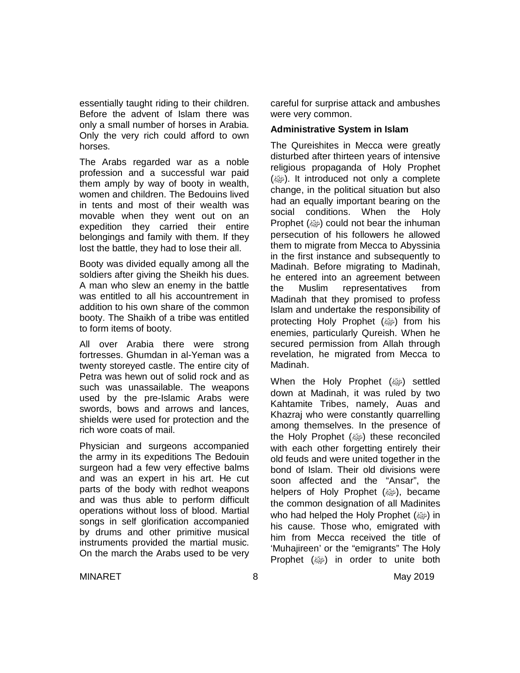essentially taught riding to their children. Before the advent of Islam there was only a small number of horses in Arabia. Only the very rich could afford to own horses.

The Arabs regarded war as a noble profession and a successful war paid them amply by way of booty in wealth, women and children. The Bedouins lived in tents and most of their wealth was movable when they went out on an expedition they carried their entire belongings and family with them. If they lost the battle, they had to lose their all.

Booty was divided equally among all the soldiers after giving the Sheikh his dues. A man who slew an enemy in the battle was entitled to all his accountrement in addition to his own share of the common booty. The Shaikh of a tribe was entitled to form items of booty.

All over Arabia there were strong fortresses. Ghumdan in al-Yeman was a twenty storeyed castle. The entire city of Petra was hewn out of solid rock and as such was unassailable. The weapons used by the pre-Islamic Arabs were swords, bows and arrows and lances, shields were used for protection and the rich wore coats of mail.

Physician and surgeons accompanied the army in its expeditions The Bedouin surgeon had a few very effective balms and was an expert in his art. He cut parts of the body with redhot weapons and was thus able to perform difficult operations without loss of blood. Martial songs in self glorification accompanied by drums and other primitive musical instruments provided the martial music. On the march the Arabs used to be very careful for surprise attack and ambushes were very common.

### **Administrative System in Islam**

The Qureishites in Mecca were greatly disturbed after thirteen years of intensive religious propaganda of Holy Prophet (@). It introduced not only a complete change, in the political situation but also had an equally important bearing on the social conditions. When the Holy Prophet (@) could not bear the inhuman persecution of his followers he allowed them to migrate from Mecca to Abyssinia in the first instance and subsequently to Madinah. Before migrating to Madinah, he entered into an agreement between the Muslim representatives from Madinah that they promised to profess Islam and undertake the responsibility of protecting Holy Prophet (ﷺ) from his enemies, particularly Qureish. When he secured permission from Allah through revelation, he migrated from Mecca to Madinah.

When the Holy Prophet (ﷺ) settled down at Madinah, it was ruled by two Kahtamite Tribes, namely, Auas and Khazraj who were constantly quarrelling among themselves. In the presence of the Holy Prophet (@) these reconciled with each other forgetting entirely their old feuds and were united together in the bond of Islam. Their old divisions were soon affected and the "Ansar", the helpers of Holy Prophet (ﷺ), became the common designation of all Madinites who had helped the Holy Prophet  $(\omega)$  in his cause. Those who, emigrated with him from Mecca received the title of 'Muhajireen' or the "emigrants" The Holy Prophet  $(\omega)$  in order to unite both

MINARET 8 8 May 2019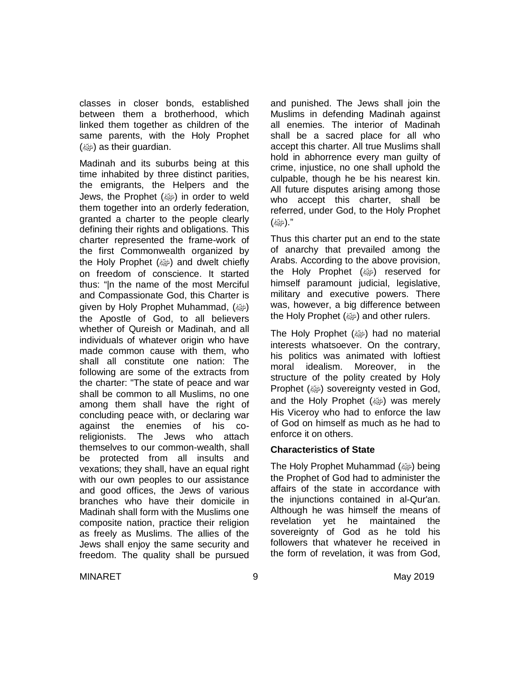classes in closer bonds, established between them a brotherhood, which linked them together as children of the same parents, with the Holy Prophet (رضع) as their guardian.

Madinah and its suburbs being at this time inhabited by three distinct parities, the emigrants, the Helpers and the Jews, the Prophet (وَالله ) in order to weld them together into an orderly federation, granted a charter to the people clearly defining their rights and obligations. This charter represented the frame-work of the first Commonwealth organized by the Holy Prophet (صلى and dwelt chiefly on freedom of conscience. It started thus: "|n the name of the most Merciful and Compassionate God, this Charter is given by Holy Prophet Muhammad, (ﷺ) the Apostle of God, to all believers whether of Qureish or Madinah, and all individuals of whatever origin who have made common cause with them, who shall all constitute one nation: The following are some of the extracts from the charter: "The state of peace and war shall be common to all Muslims, no one among them shall have the right of concluding peace with, or declaring war against the enemies of his coreligionists. The Jews who attach themselves to our common-wealth, shall be protected from all insults and vexations; they shall, have an equal right with our own peoples to our assistance and good offices, the Jews of various branches who have their domicile in Madinah shall form with the Muslims one composite nation, practice their religion as freely as Muslims. The allies of the Jews shall enjoy the same security and freedom. The quality shall be pursued and punished. The Jews shall join the Muslims in defending Madinah against all enemies. The interior of Madinah shall be a sacred place for all who accept this charter. All true Muslims shall hold in abhorrence every man guilty of crime, injustice, no one shall uphold the culpable, though he be his nearest kin. All future disputes arising among those who accept this charter, shall be referred, under God, to the Holy Prophet ".(صلى الله عليه وسلم)

Thus this charter put an end to the state of anarchy that prevailed among the Arabs. According to the above provision, the Holy Prophet (ﷺ) reserved for himself paramount judicial, legislative, military and executive powers. There was, however, a big difference between the Holy Prophet (ﷺ) and other rulers.

The Holy Prophet (رَضِهَا had no material interests whatsoever. On the contrary, his politics was animated with loftiest moral idealism. Moreover, in the structure of the polity created by Holy Prophet (ﷺ) sovereignty vested in God, and the Holy Prophet (ﷺ) was merely His Viceroy who had to enforce the law of God on himself as much as he had to enforce it on others.

### **Characteristics of State**

The Holy Prophet Muhammad (ﷺ) being the Prophet of God had to administer the affairs of the state in accordance with the injunctions contained in al-Qur'an. Although he was himself the means of revelation yet he maintained the sovereignty of God as he told his followers that whatever he received in the form of revelation, it was from God,

MINARET 9 May 2019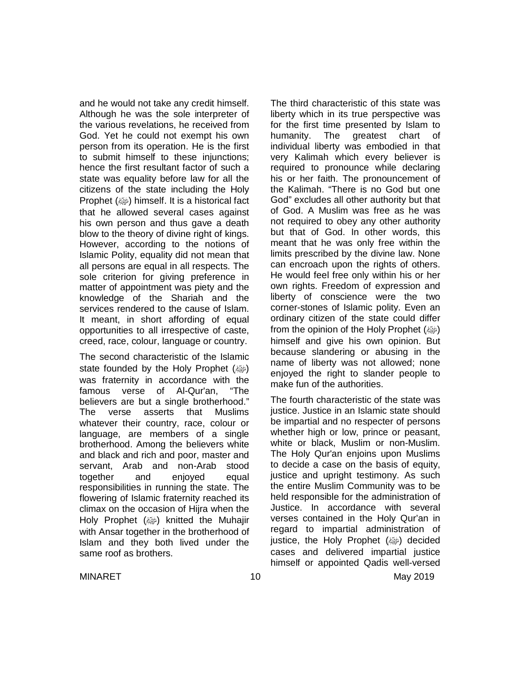and he would not take any credit himself. Although he was the sole interpreter of the various revelations, he received from God. Yet he could not exempt his own person from its operation. He is the first to submit himself to these injunctions; hence the first resultant factor of such a state was equality before law for all the citizens of the state including the Holy Prophet (ﷺ) himself. It is a historical fact that he allowed several cases against his own person and thus gave a death blow to the theory of divine right of kings. However, according to the notions of Islamic Polity, equality did not mean that all persons are equal in all respects. The sole criterion for giving preference in matter of appointment was piety and the knowledge of the Shariah and the services rendered to the cause of Islam. It meant, in short affording of equal opportunities to all irrespective of caste, creed, race, colour, language or country.

The second characteristic of the Islamic state founded by the Holy Prophet (ﷺ) was fraternity in accordance with the famous verse of Al-Qur'an, "The believers are but a single brotherhood." The verse asserts that Muslims whatever their country, race, colour or language, are members of a single brotherhood. Among the believers white and black and rich and poor, master and servant, Arab and non-Arab stood together and enjoyed equal responsibilities in running the state. The flowering of Islamic fraternity reached its climax on the occasion of Hijra when the Holy Prophet (رضية) knitted the Muhajir with Ansar together in the brotherhood of Islam and they both lived under the same roof as brothers.

The third characteristic of this state was liberty which in its true perspective was for the first time presented by Islam to humanity. The greatest chart of individual liberty was embodied in that very Kalimah which every believer is required to pronounce while declaring his or her faith. The pronouncement of the Kalimah. "There is no God but one God" excludes all other authority but that of God. A Muslim was free as he was not required to obey any other authority but that of God. In other words, this meant that he was only free within the limits prescribed by the divine law. None can encroach upon the rights of others. He would feel free only within his or her own rights. Freedom of expression and liberty of conscience were the two corner-stones of Islamic polity. Even an ordinary citizen of the state could differ from the opinion of the Holy Prophet (@) himself and give his own opinion. But because slandering or abusing in the name of liberty was not allowed; none enjoyed the right to slander people to make fun of the authorities.

The fourth characteristic of the state was justice. Justice in an Islamic state should be impartial and no respecter of persons whether high or low, prince or peasant, white or black, Muslim or non-Muslim. The Holy Qur'an enjoins upon Muslims to decide a case on the basis of equity, justice and upright testimony. As such the entire Muslim Community was to be held responsible for the administration of Justice. In accordance with several verses contained in the Holy Qur'an in regard to impartial administration of justice, the Holy Prophet (@) decided cases and delivered impartial justice himself or appointed Qadis well-versed

MINARET 10 10 May 2019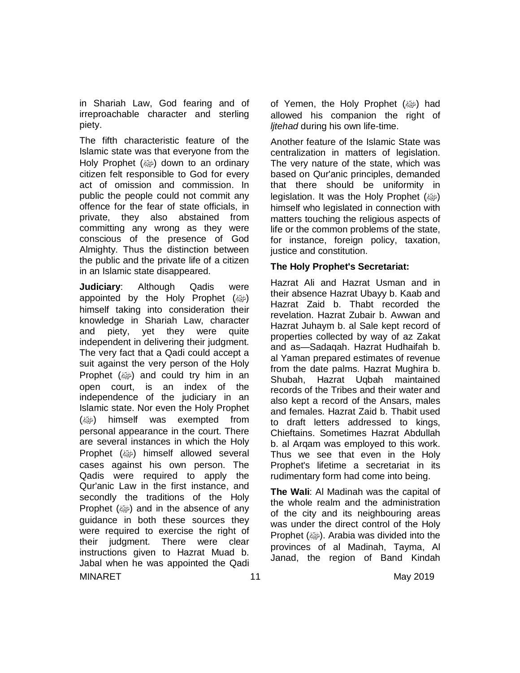in Shariah Law, God fearing and of irreproachable character and sterling piety.

The fifth characteristic feature of the Islamic state was that everyone from the Holy Prophet  $(\omega)$  down to an ordinary citizen felt responsible to God for every act of omission and commission. In public the people could not commit any offence for the fear of state officials, in private, they also abstained from committing any wrong as they were conscious of the presence of God Almighty. Thus the distinction between the public and the private life of a citizen in an Islamic state disappeared.

MINARET 11 May 2019 **Judiciary**: Although Qadis were appointed by the Holy Prophet (@) himself taking into consideration their knowledge in Shariah Law, character and piety, yet they were quite independent in delivering their judgment. The very fact that a Qadi could accept a suit against the very person of the Holy Prophet  $(\omega)$  and could try him in an open court, is an index of the independence of the judiciary in an Islamic state. Nor even the Holy Prophet (@) himself was exempted from personal appearance in the court. There are several instances in which the Holy Prophet () himself allowed several cases against his own person. The Qadis were required to apply the Qur'anic Law in the first instance, and secondly the traditions of the Holy Prophet (ﷺ) and in the absence of any guidance in both these sources they were required to exercise the right of their judgment. There were clear instructions given to Hazrat Muad b. Jabal when he was appointed the Qadi

of Yemen, the Holy Prophet  $(\omega)$  had allowed his companion the right of *ljtehad* during his own life-time.

Another feature of the Islamic State was centralization in matters of legislation. The very nature of the state, which was based on Qur'anic principles, demanded that there should be uniformity in legislation. It was the Holy Prophet (ﷺ) himself who legislated in connection with matters touching the religious aspects of life or the common problems of the state, for instance, foreign policy, taxation, justice and constitution.

### **The Holy Prophet's Secretariat:**

Hazrat Ali and Hazrat Usman and in their absence Hazrat Ubayy b. Kaab and Hazrat Zaid b. Thabt recorded the revelation. Hazrat Zubair b. Awwan and Hazrat Juhaym b. al Sale kept record of properties collected by way of az Zakat and as—Sadaqah. Hazrat Hudhaifah b. al Yaman prepared estimates of revenue from the date palms. Hazrat Mughira b. Shubah, Hazrat Uqbah maintained records of the Tribes and their water and also kept a record of the Ansars, males and females. Hazrat Zaid b. Thabit used to draft letters addressed to kings, Chieftains. Sometimes Hazrat Abdullah b. al Arqam was employed to this work. Thus we see that even in the Holy Prophet's lifetime a secretariat in its rudimentary form had come into being.

**The WaIi**: Al Madinah was the capital of the whole realm and the administration of the city and its neighbouring areas was under the direct control of the Holy Prophet (@). Arabia was divided into the provinces of al Madinah, Tayma, Al Janad, the region of Band Kindah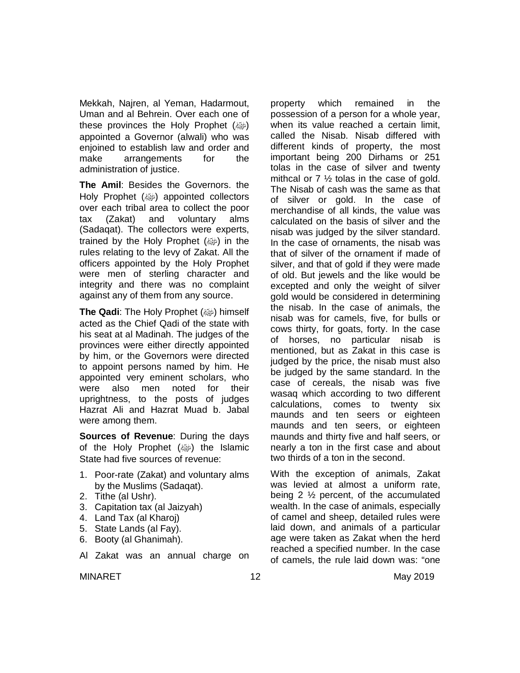Mekkah, Najren, al Yeman, Hadarmout, Uman and al Behrein. Over each one of these provinces the Holy Prophet (@) appointed a Governor (alwali) who was enjoined to establish law and order and make arrangements for the administration of justice.

**The Amil**: Besides the Governors. the Holy Prophet (@) appointed collectors over each tribal area to collect the poor tax (Zakat) and voluntary alms (Sadaqat). The collectors were experts, trained by the Holy Prophet  $(\omega)$  in the rules relating to the levy of Zakat. All the officers appointed by the Holy Prophet were men of sterling character and integrity and there was no complaint against any of them from any source.

**The Qadi**: The Holy Prophet (ﷺ) himself acted as the Chief Qadi of the state with his seat at al Madinah. The judges of the provinces were either directly appointed by him, or the Governors were directed to appoint persons named by him. He appointed very eminent scholars, who were also men noted for their uprightness, to the posts of judges Hazrat Ali and Hazrat Muad b. Jabal were among them.

**Sources of Revenue**: During the days of the Holy Prophet (@) the Islamic State had five sources of revenue:

- 1. Poor-rate (Zakat) and voluntary alms by the Muslims (Sadaqat).
- 2. Tithe (al Ushr).
- 3. Capitation tax (al Jaizyah)
- 4. Land Tax (al Kharoj)
- 5. State Lands (al Fay).
- 6. Booty (al Ghanimah).
- Al Zakat was an annual charge on

property which remained in the possession of a person for a whole year, when its value reached a certain limit, called the Nisab. Nisab differed with different kinds of property, the most important being 200 Dirhams or 251 tolas in the case of silver and twenty mithcal or 7 ½ tolas in the case of gold. The Nisab of cash was the same as that of silver or gold. In the case of merchandise of all kinds, the value was calculated on the basis of silver and the nisab was judged by the silver standard. In the case of ornaments, the nisab was that of silver of the ornament if made of silver, and that of gold if they were made of old. But jewels and the like would be excepted and only the weight of silver gold would be considered in determining the nisab. In the case of animals, the nisab was for camels, five, for bulls or cows thirty, for goats, forty. In the case of horses, no particular nisab is mentioned, but as Zakat in this case is judged by the price, the nisab must also be judged by the same standard. In the case of cereals, the nisab was five wasaq which according to two different calculations, comes to twenty six maunds and ten seers or eighteen maunds and ten seers, or eighteen maunds and thirty five and half seers, or nearly a ton in the first case and about two thirds of a ton in the second.

With the exception of animals, Zakat was levied at almost a uniform rate, being 2 ½ percent, of the accumulated wealth. In the case of animals, especially of camel and sheep, detailed rules were laid down, and animals of a particular age were taken as Zakat when the herd reached a specified number. In the case of camels, the rule laid down was: "one

MINARET 12 12 May 2019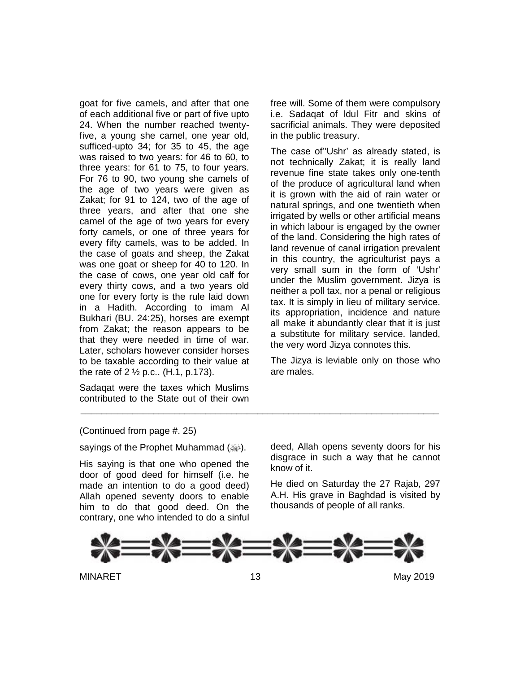goat for five camels, and after that one of each additional five or part of five upto 24. When the number reached twentyfive, a young she camel, one year old, sufficed-upto 34; for 35 to 45, the age was raised to two years: for 46 to 60, to three years: for 61 to 75, to four years. For 76 to 90, two young she camels of the age of two years were given as Zakat; for 91 to 124, two of the age of three years, and after that one she camel of the age of two years for every forty camels, or one of three years for every fifty camels, was to be added. In the case of goats and sheep, the Zakat was one goat or sheep for 40 to 120. In the case of cows, one year old calf for every thirty cows, and a two years old one for every forty is the rule laid down in a Hadith. According to imam Al Bukhari (BU. 24:25), horses are exempt from Zakat; the reason appears to be that they were needed in time of war. Later, scholars however consider horses to be taxable according to their value at the rate of 2  $\frac{1}{2}$  p.c.. (H.1, p.173).

Sadaqat were the taxes which Muslims contributed to the State out of their own free will. Some of them were compulsory i.e. Sadaqat of ldul Fitr and skins of sacrificial animals. They were deposited in the public treasury.

The case of''Ushr' as already stated, is not technically Zakat; it is really land revenue fine state takes only one-tenth of the produce of agricultural land when it is grown with the aid of rain water or natural springs, and one twentieth when irrigated by wells or other artificial means in which labour is engaged by the owner of the land. Considering the high rates of land revenue of canal irrigation prevalent in this country, the agriculturist pays a very small sum in the form of 'Ushr' under the Muslim government. Jizya is neither a poll tax, nor a penal or religious tax. It is simply in lieu of military service. its appropriation, incidence and nature all make it abundantly clear that it is just a substitute for military service. landed, the very word Jizya connotes this.

The Jizya is leviable only on those who are males.

### (Continued from page #. 25)

sayings of the Prophet Muhammad (ﷺ).

His saying is that one who opened the door of good deed for himself (i.e. he made an intention to do a good deed) Allah opened seventy doors to enable him to do that good deed. On the contrary, one who intended to do a sinful

deed, Allah opens seventy doors for his disgrace in such a way that he cannot know of it.

He died on Saturday the 27 Rajab, 297 A.H. His grave in Baghdad is visited by thousands of people of all ranks.



\_\_\_\_\_\_\_\_\_\_\_\_\_\_\_\_\_\_\_\_\_\_\_\_\_\_\_\_\_\_\_\_\_\_\_\_\_\_\_\_\_\_\_\_\_\_\_\_\_\_\_\_\_\_\_\_\_\_\_\_\_\_\_\_\_\_\_\_\_

MINARET 13 May 2019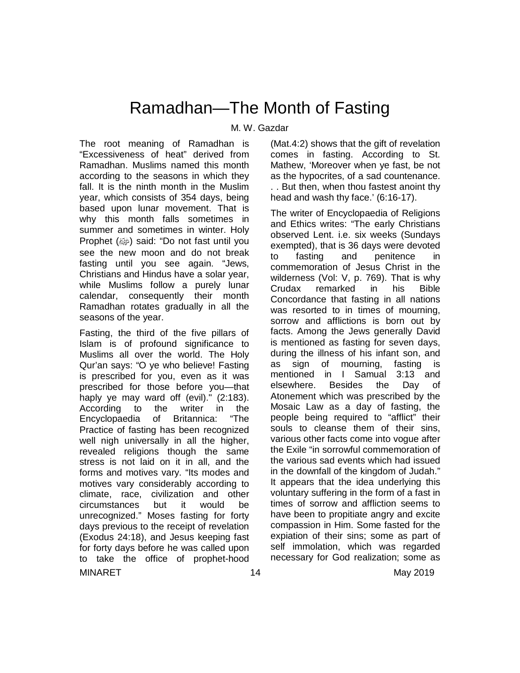### Ramadhan—The Month of Fasting

### M. W. Gazdar

The root meaning of Ramadhan is "Excessiveness of heat" derived from Ramadhan. Muslims named this month according to the seasons in which they fall. It is the ninth month in the Muslim year, which consists of 354 days, being based upon lunar movement. That is why this month falls sometimes in summer and sometimes in winter. Holy Prophet (رضع) said: "Do not fast until you see the new moon and do not break fasting until you see again. "Jews, Christians and Hindus have a solar year, while Muslims follow a purely lunar calendar, consequently their month Ramadhan rotates gradually in all the seasons of the year.

MINARET 14 May 2019 Fasting, the third of the five pillars of Islam is of profound significance to Muslims all over the world. The Holy Qur'an says: "O ye who believe! Fasting is prescribed for you, even as it was prescribed for those before you—that haply ye may ward off (evil)." (2:183). According to the writer in the<br>Encyclopaedia of Britannica: "The Encyclopaedia of Britannica: Practice of fasting has been recognized well nigh universally in all the higher, revealed religions though the same stress is not laid on it in all, and the forms and motives vary. "Its modes and motives vary considerably according to climate, race, civilization and other circumstances but it would be unrecognized." Moses fasting for forty days previous to the receipt of revelation (Exodus 24:18), and Jesus keeping fast for forty days before he was called upon to take the office of prophet-hood

(Mat.4:2) shows that the gift of revelation comes in fasting. According to St. Mathew, 'Moreover when ye fast, be not as the hypocrites, of a sad countenance. . . But then, when thou fastest anoint thy head and wash thy face.' (6:16-17).

The writer of Encyclopaedia of Religions and Ethics writes: "The early Christians observed Lent. i.e. six weeks (Sundays exempted), that is 36 days were devoted to fasting and penitence in commemoration of Jesus Christ in the wilderness (Vol: V, p. 769). That is why Crudax remarked in his Bible Concordance that fasting in all nations was resorted to in times of mourning, sorrow and afflictions is born out by facts. Among the Jews generally David is mentioned as fasting for seven days, during the illness of his infant son, and as sign of mourning, fasting is mentioned in I Samual 3:13 and elsewhere. Besides the Day of Atonement which was prescribed by the Mosaic Law as a day of fasting, the people being required to "afflict" their souls to cleanse them of their sins, various other facts come into vogue after the Exile "in sorrowful commemoration of the various sad events which had issued in the downfall of the kingdom of Judah." It appears that the idea underlying this voluntary suffering in the form of a fast in times of sorrow and affliction seems to have been to propitiate angry and excite compassion in Him. Some fasted for the expiation of their sins; some as part of self immolation, which was regarded necessary for God realization; some as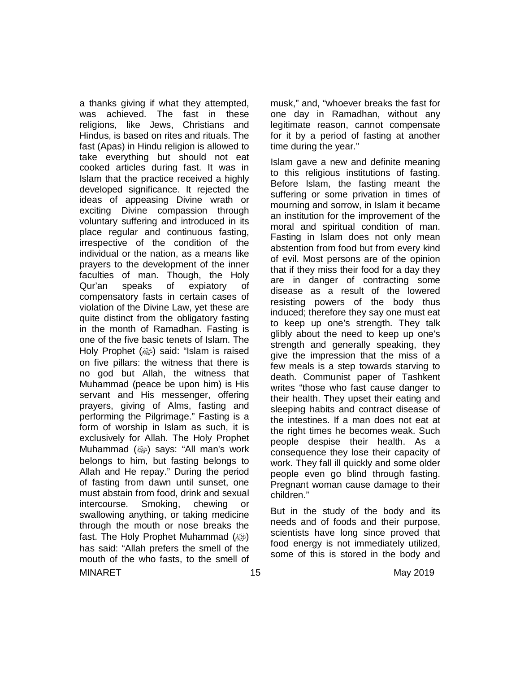MINARET 15 May 2019 a thanks giving if what they attempted, was achieved. The fast in these religions, like Jews, Christians and Hindus, is based on rites and rituals. The fast (Apas) in Hindu religion is allowed to take everything but should not eat cooked articles during fast. It was in Islam that the practice received a highly developed significance. It rejected the ideas of appeasing Divine wrath or exciting Divine compassion through voluntary suffering and introduced in its place regular and continuous fasting, irrespective of the condition of the individual or the nation, as a means like prayers to the development of the inner faculties of man. Though, the Holy Qur'an speaks of expiatory of compensatory fasts in certain cases of violation of the Divine Law, yet these are quite distinct from the obligatory fasting in the month of Ramadhan. Fasting is one of the five basic tenets of Islam. The Holy Prophet (@) said: "Islam is raised on five pillars: the witness that there is no god but Allah, the witness that Muhammad (peace be upon him) is His servant and His messenger, offering prayers, giving of Alms, fasting and performing the Pilgrimage." Fasting is a form of worship in Islam as such, it is exclusively for Allah. The Holy Prophet Muhammad (@) says: "All man's work belongs to him, but fasting belongs to Allah and He repay." During the period of fasting from dawn until sunset, one must abstain from food, drink and sexual intercourse. Smoking, chewing or swallowing anything, or taking medicine through the mouth or nose breaks the fast. The Holy Prophet Muhammad (ﷺ) has said: "Allah prefers the smell of the mouth of the who fasts, to the smell of

musk," and, "whoever breaks the fast for one day in Ramadhan, without any legitimate reason, cannot compensate for it by a period of fasting at another time during the year."

Islam gave a new and definite meaning to this religious institutions of fasting. Before Islam, the fasting meant the suffering or some privation in times of mourning and sorrow, in Islam it became an institution for the improvement of the moral and spiritual condition of man. Fasting in Islam does not only mean abstention from food but from every kind of evil. Most persons are of the opinion that if they miss their food for a day they are in danger of contracting some disease as a result of the lowered resisting powers of the body thus induced; therefore they say one must eat to keep up one's strength. They talk glibly about the need to keep up one's strength and generally speaking, they give the impression that the miss of a few meals is a step towards starving to death. Communist paper of Tashkent writes "those who fast cause danger to their health. They upset their eating and sleeping habits and contract disease of the intestines. If a man does not eat at the right times he becomes weak. Such people despise their health. As a consequence they lose their capacity of work. They fall ill quickly and some older people even go blind through fasting. Pregnant woman cause damage to their children."

But in the study of the body and its needs and of foods and their purpose, scientists have long since proved that food energy is not immediately utilized, some of this is stored in the body and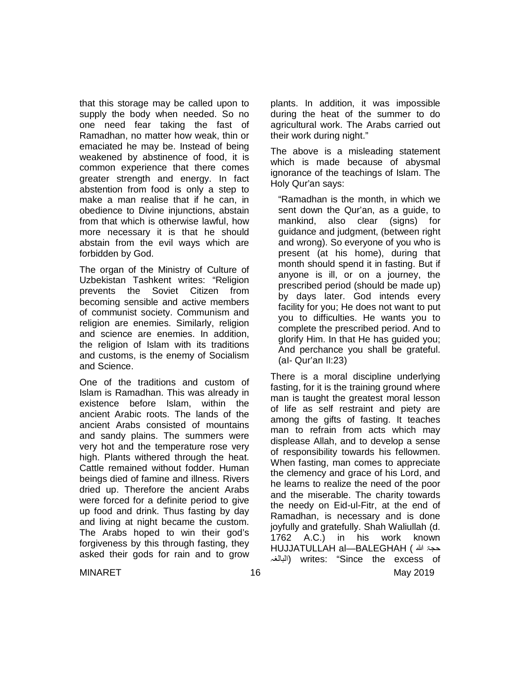that this storage may be called upon to supply the body when needed. So no one need fear taking the fast of Ramadhan, no matter how weak, thin or emaciated he may be. Instead of being weakened by abstinence of food, it is common experience that there comes greater strength and energy. In fact abstention from food is only a step to make a man realise that if he can, in obedience to Divine injunctions, abstain from that which is otherwise lawful, how more necessary it is that he should abstain from the evil ways which are forbidden by God.

The organ of the Ministry of Culture of Uzbekistan Tashkent writes: "Religion prevents the Soviet Citizen from becoming sensible and active members of communist society. Communism and religion are enemies. Similarly, religion and science are enemies. In addition, the religion of Islam with its traditions and customs, is the enemy of Socialism and Science.

One of the traditions and custom of Islam is Ramadhan. This was already in existence before Islam, within the ancient Arabic roots. The lands of the ancient Arabs consisted of mountains and sandy plains. The summers were very hot and the temperature rose very high. Plants withered through the heat. Cattle remained without fodder. Human beings died of famine and illness. Rivers dried up. Therefore the ancient Arabs were forced for a definite period to give up food and drink. Thus fasting by day and living at night became the custom. The Arabs hoped to win their god's forgiveness by this through fasting, they asked their gods for rain and to grow plants. In addition, it was impossible during the heat of the summer to do agricultural work. The Arabs carried out their work during night."

The above is a misleading statement which is made because of abysmal ignorance of the teachings of Islam. The Holy Qur'an says:

"Ramadhan is the month, in which we sent down the Qur'an, as a guide, to mankind, also clear (signs) for guidance and judgment, (between right and wrong). So everyone of you who is present (at his home), during that month should spend it in fasting. But if anyone is ill, or on a journey, the prescribed period (should be made up) by days later. God intends every facility for you; He does not want to put you to difficulties. He wants you to complete the prescribed period. And to glorify Him. In that He has guided you; And perchance you shall be grateful. (aI- Qur'an II:23)

There is a moral discipline underlying fasting, for it is the training ground where man is taught the greatest moral lesson of life as self restraint and piety are among the gifts of fasting. It teaches man to refrain from acts which may displease Allah, and to develop a sense of responsibility towards his fellowmen. When fasting, man comes to appreciate the clemency and grace of his Lord, and he learns to realize the need of the poor and the miserable. The charity towards the needy on Eid-ul-Fitr, at the end of Ramadhan, is necessary and is done joyfully and gratefully. Shah Waliullah (d. 1762 A.C.) in his work known HUJJATULLAH al—BALEGHAH ( الله حجۃ البالغہ (writes: "Since the excess of

MINARET 16 May 2019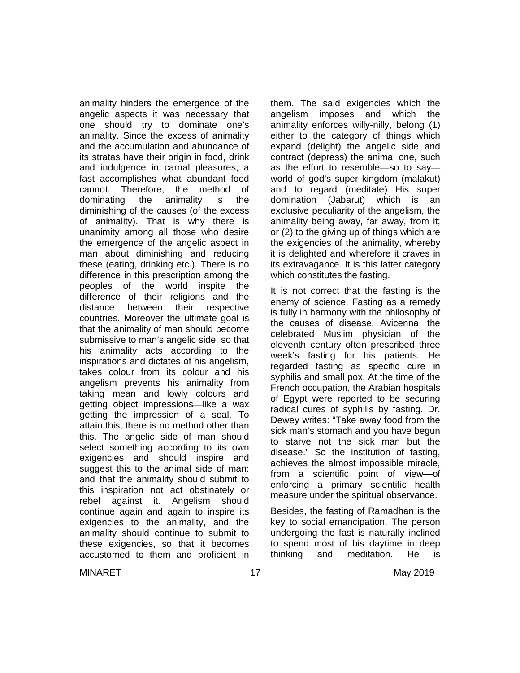animality hinders the emergence of the angelic aspects it was necessary that one should try to dominate one's animality. Since the excess of animality and the accumulation and abundance of its stratas have their origin in food, drink and indulgence in carnal pleasures, a fast accomplishes what abundant food cannot. Therefore, the method of dominating the animality is the diminishing of the causes (of the excess of animality). That is why there is unanimity among all those who desire the emergence of the angelic aspect in man about diminishing and reducing these (eating, drinking etc.). There is no difference in this prescription among the peoples of the world inspite the difference of their religions and the distance between their respective countries. Moreover the ultimate goal is that the animality of man should become submissive to man's angelic side, so that his animality acts according to the inspirations and dictates of his angelism, takes colour from its colour and his angelism prevents his animality from taking mean and lowly colours and getting object impressions—like a wax getting the impression of a seal. To attain this, there is no method other than this. The angelic side of man should select something according to its own exigencies and should inspire and suggest this to the animal side of man: and that the animality should submit to this inspiration not act obstinately or rebel against it. Angelism should continue again and again to inspire its exigencies to the animality, and the animality should continue to submit to these exigencies, so that it becomes accustomed to them and proficient in

them. The said exigencies which the angelism imposes and which the animality enforces willy-nilly, belong (1) either to the category of things which expand (delight) the angelic side and contract (depress) the animal one, such as the effort to resemble—so to say world of god's super kingdom (malakut) and to regard (meditate) His super domination (Jabarut) which is an exclusive peculiarity of the angelism, the animality being away, far away, from it; or (2) to the giving up of things which are the exigencies of the animality, whereby it is delighted and wherefore it craves in its extravagance. It is this latter category which constitutes the fasting.

It is not correct that the fasting is the enemy of science. Fasting as a remedy is fully in harmony with the philosophy of the causes of disease. Avicenna, the celebrated Muslim physician of the eleventh century often prescribed three week's fasting for his patients. He regarded fasting as specific cure in syphilis and small pox. At the time of the French occupation, the Arabian hospitals of Egypt were reported to be securing radical cures of syphilis by fasting. Dr. Dewey writes: "Take away food from the sick man's stomach and you have begun to starve not the sick man but the disease." So the institution of fasting, achieves the almost impossible miracle, from a scientific point of view—of enforcing a primary scientific health measure under the spiritual observance.

Besides, the fasting of Ramadhan is the key to social emancipation. The person undergoing the fast is naturally inclined to spend most of his daytime in deep thinking and meditation. He is

MINARET 17 May 2019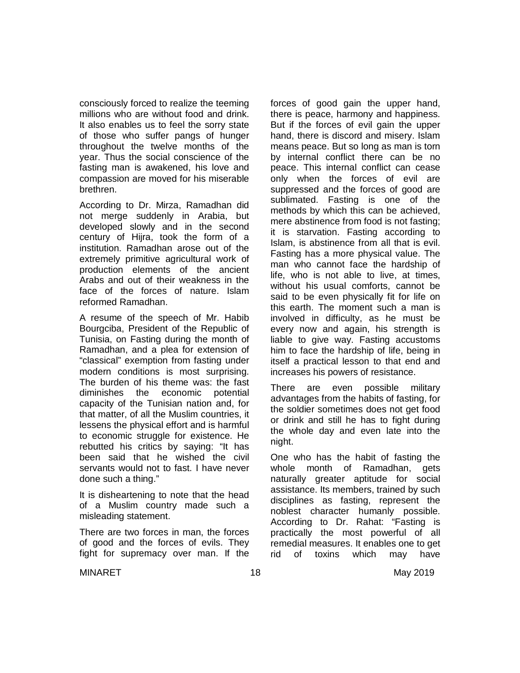consciously forced to realize the teeming millions who are without food and drink. It also enables us to feel the sorry state of those who suffer pangs of hunger throughout the twelve months of the year. Thus the social conscience of the fasting man is awakened, his love and compassion are moved for his miserable brethren.

According to Dr. Mirza, Ramadhan did not merge suddenly in Arabia, but developed slowly and in the second century of Hijra, took the form of a institution. Ramadhan arose out of the extremely primitive agricultural work of production elements of the ancient Arabs and out of their weakness in the face of the forces of nature. Islam reformed Ramadhan.

A resume of the speech of Mr. Habib Bourgciba, President of the Republic of Tunisia, on Fasting during the month of Ramadhan, and a plea for extension of "classical" exemption from fasting under modern conditions is most surprising. The burden of his theme was: the fast diminishes the economic potential capacity of the Tunisian nation and, for that matter, of all the Muslim countries, it lessens the physical effort and is harmful to economic struggle for existence. He rebutted his critics by saying: "It has been said that he wished the civil servants would not to fast. I have never done such a thing."

It is disheartening to note that the head of a Muslim country made such a misleading statement.

There are two forces in man, the forces of good and the forces of evils. They fight for supremacy over man. If the forces of good gain the upper hand, there is peace, harmony and happiness. But if the forces of evil gain the upper hand, there is discord and misery. Islam means peace. But so long as man is torn by internal conflict there can be no peace. This internal conflict can cease only when the forces of evil are suppressed and the forces of good are sublimated. Fasting is one of the methods by which this can be achieved, mere abstinence from food is not fasting; it is starvation. Fasting according to Islam, is abstinence from all that is evil. Fasting has a more physical value. The man who cannot face the hardship of life, who is not able to live, at times, without his usual comforts, cannot be said to be even physically fit for life on this earth. The moment such a man is involved in difficulty, as he must be every now and again, his strength is liable to give way. Fasting accustoms him to face the hardship of life, being in itself a practical lesson to that end and increases his powers of resistance.

There are even possible military advantages from the habits of fasting, for the soldier sometimes does not get food or drink and still he has to fight during the whole day and even late into the night.

One who has the habit of fasting the whole month of Ramadhan, gets naturally greater aptitude for social assistance. Its members, trained by such disciplines as fasting, represent the noblest character humanly possible. According to Dr. Rahat: "Fasting is practically the most powerful of all remedial measures. It enables one to get rid of toxins which may have

MINARET 18 May 2019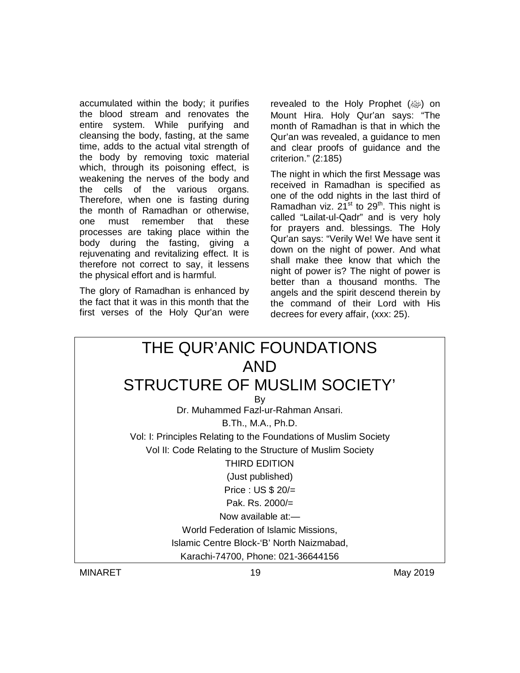accumulated within the body; it purifies the blood stream and renovates the entire system. While purifying and cleansing the body, fasting, at the same time, adds to the actual vital strength of the body by removing toxic material which, through its poisoning effect, is weakening the nerves of the body and the cells of the various organs. Therefore, when one is fasting during the month of Ramadhan or otherwise, one must remember that these processes are taking place within the body during the fasting, giving a rejuvenating and revitalizing effect. It is therefore not correct to say, it lessens the physical effort and is harmful.

The glory of Ramadhan is enhanced by the fact that it was in this month that the first verses of the Holy Qur'an were revealed to the Holy Prophet  $(\omega)$  on Mount Hira. Holy Qur'an says: "The month of Ramadhan is that in which the Qur'an was revealed, a guidance to men and clear proofs of guidance and the criterion." (2:185)

The night in which the first Message was received in Ramadhan is specified as one of the odd nights in the last third of Ramadhan viz.  $21^{st}$  to  $29^{th}$ . This night is called "Lailat-ul-Qadr" and is very holy for prayers and. blessings. The Holy Qur'an says: "Verily We! We have sent it down on the night of power. And what shall make thee know that which the night of power is? The night of power is better than a thousand months. The angels and the spirit descend therein by the command of their Lord with His decrees for every affair, (xxx: 25).

| THE QUR'ANIC FOUNDATIONS                                         |
|------------------------------------------------------------------|
| AND                                                              |
| STRUCTURE OF MUSLIM SOCIETY"                                     |
| By                                                               |
| Dr. Muhammed Fazl-ur-Rahman Ansari.                              |
| B.Th., M.A., Ph.D.                                               |
| Vol: I: Principles Relating to the Foundations of Muslim Society |
| Vol II: Code Relating to the Structure of Muslim Society         |
| <b>THIRD EDITION</b>                                             |
| (Just published)                                                 |
| Price : $US $ 20/=\ }$                                           |
| Pak. Rs. $2000/=$                                                |
| Now available $at$ $-$                                           |
| World Federation of Islamic Missions,                            |
| Islamic Centre Block-'B' North Naizmabad,                        |
| Karachi-74700, Phone: 021-36644156                               |

MINARET 19 May 2019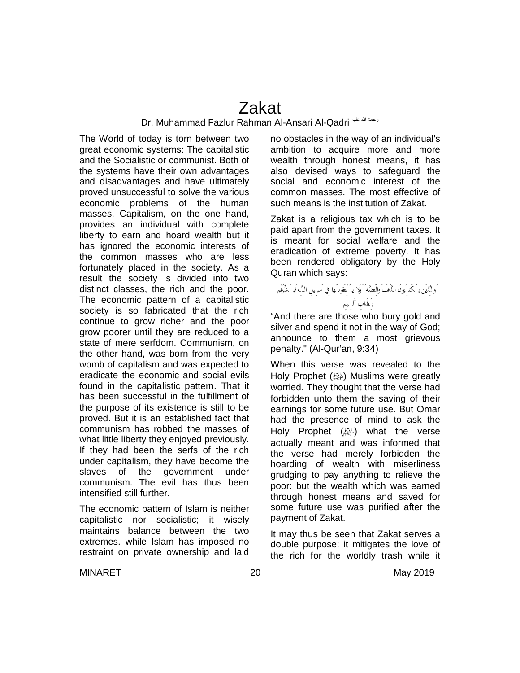### Zakat

### Dr. Muhammad Fazlur Rahman Al-Ansari Al-Qadri علیہ الله رحمۃ

The World of today is torn between two great economic systems: The capitalistic and the Socialistic or communist. Both of the systems have their own advantages and disadvantages and have ultimately proved unsuccessful to solve the various economic problems of the human masses. Capitalism, on the one hand, provides an individual with complete liberty to earn and hoard wealth but it has ignored the economic interests of the common masses who are less fortunately placed in the society. As a result the society is divided into two distinct classes, the rich and the poor. The economic pattern of a capitalistic society is so fabricated that the rich continue to grow richer and the poor grow poorer until they are reduced to a state of mere serfdom. Communism, on the other hand, was born from the very womb of capitalism and was expected to eradicate the economic and social evils found in the capitalistic pattern. That it has been successful in the fulfillment of the purpose of its existence is still to be proved. But it is an established fact that communism has robbed the masses of what little liberty they enjoyed previously. If they had been the serfs of the rich under capitalism, they have become the slaves of the government under communism. The evil has thus been intensified still further.

The economic pattern of Islam is neither capitalistic nor socialistic; it wisely maintains balance between the two extremes. while Islam has imposed no restraint on private ownership and laid

no obstacles in the way of an individual's ambition to acquire more and more wealth through honest means, it has also devised ways to safeguard the social and economic interest of the common masses. The most effective of such means is the institution of Zakat.

Zakat is a religious tax which is to be paid apart from the government taxes. It is meant for social welfare and the eradication of extreme poverty. It has been rendered obligatory by the Holy Quran which says:

### َ وَالنَّذِينَ يَـ كُنْـ ُ وَنَ النَّهَبَ وَالْفِضَّةَ ۚ وَلَا يـ ُ نُفُقُونَـ هَا فِي سَبِـ بِلِ اللَّـهِ فَب مَشُّوْم بِعَذَابٍ أَل يهم

"And there are those who bury gold and silver and spend it not in the way of God; announce to them a most grievous penalty." (Al-Qur'an, 9:34)

When this verse was revealed to the Holy Prophet (@) Muslims were greatly worried. They thought that the verse had forbidden unto them the saving of their earnings for some future use. But Omar had the presence of mind to ask the Holy Prophet (ﷺ) what the verse actually meant and was informed that the verse had merely forbidden the hoarding of wealth with miserliness grudging to pay anything to relieve the poor: but the wealth which was earned through honest means and saved for some future use was purified after the payment of Zakat.

It may thus be seen that Zakat serves a double purpose: it mitigates the love of the rich for the worldly trash while it

MINARET 20 May 2019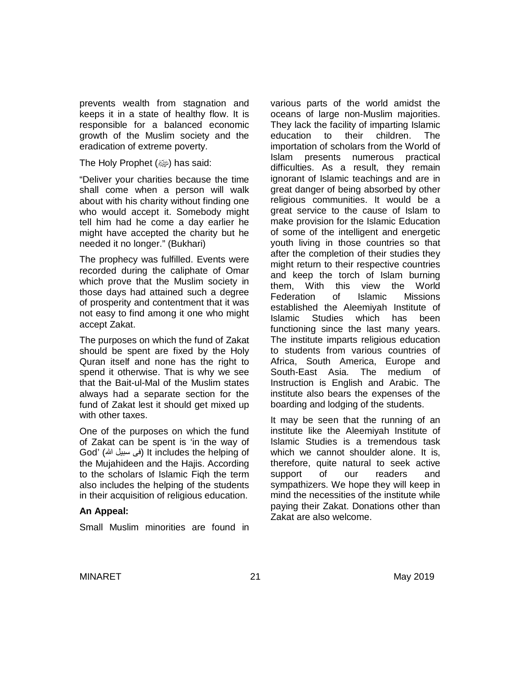prevents wealth from stagnation and keeps it in a state of healthy flow. It is responsible for a balanced economic growth of the Muslim society and the eradication of extreme poverty.

The Holy Prophet  $(\omega)$  has said:

"Deliver your charities because the time shall come when a person will walk about with his charity without finding one who would accept it. Somebody might tell him had he come a day earlier he might have accepted the charity but he needed it no longer." (Bukhari)

The prophecy was fulfilled. Events were recorded during the caliphate of Omar which prove that the Muslim society in those days had attained such a degree of prosperity and contentment that it was not easy to find among it one who might accept Zakat.

The purposes on which the fund of Zakat should be spent are fixed by the Holy Quran itself and none has the right to spend it otherwise. That is why we see that the Bait-ul-Mal of the Muslim states always had a separate section for the fund of Zakat lest it should get mixed up with other taxes.

One of the purposes on which the fund of Zakat can be spent is 'in the way of God' (الله سبیل فی (It includes the helping of the Mujahideen and the Hajis. According to the scholars of Islamic Fiqh the term also includes the helping of the students in their acquisition of religious education.

### **An Appeal:**

Small Muslim minorities are found in

various parts of the world amidst the oceans of large non-Muslim majorities. They lack the facility of imparting Islamic education to their children. The importation of scholars from the World of Islam presents numerous practical difficulties. As a result, they remain ignorant of Islamic teachings and are in great danger of being absorbed by other religious communities. It would be a great service to the cause of Islam to make provision for the Islamic Education of some of the intelligent and energetic youth living in those countries so that after the completion of their studies they might return to their respective countries and keep the torch of Islam burning them, With this view the World Federation of Islamic Missions established the Aleemiyah Institute of Islamic Studies which has been functioning since the last many years. The institute imparts religious education to students from various countries of Africa, South America, Europe and South-East Asia. The medium of Instruction is English and Arabic. The institute also bears the expenses of the boarding and lodging of the students.

It may be seen that the running of an institute like the Aleemiyah Institute of Islamic Studies is a tremendous task which we cannot shoulder alone. It is, therefore, quite natural to seek active support of our readers and sympathizers. We hope they will keep in mind the necessities of the institute while paying their Zakat. Donations other than Zakat are also welcome.

MINARET 21 21 May 2019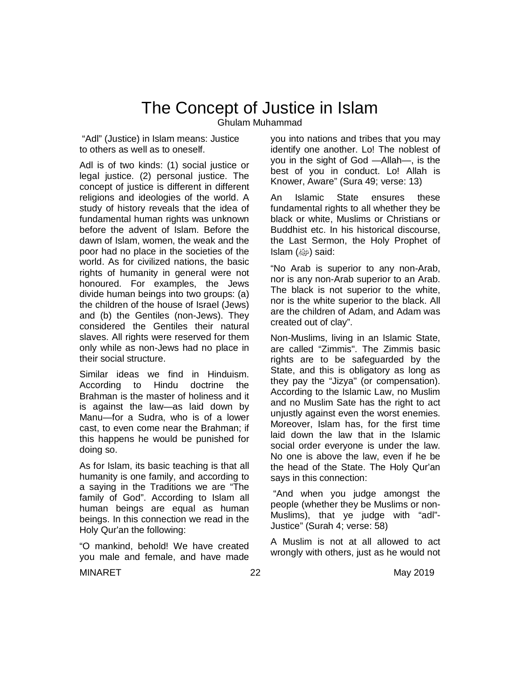### The Concept of Justice in Islam

Ghulam Muhammad

"Adl" (Justice) in Islam means: Justice to others as well as to oneself.

Adl is of two kinds: (1) social justice or legal justice. (2) personal justice. The concept of justice is different in different religions and ideologies of the world. A study of history reveals that the idea of fundamental human rights was unknown before the advent of Islam. Before the dawn of Islam, women, the weak and the poor had no place in the societies of the world. As for civilized nations, the basic rights of humanity in general were not honoured. For examples, the Jews divide human beings into two groups: (a) the children of the house of Israel (Jews) and (b) the Gentiles (non-Jews). They considered the Gentiles their natural slaves. All rights were reserved for them only while as non-Jews had no place in their social structure.

Similar ideas we find in Hinduism. According to Hindu doctrine the Brahman is the master of holiness and it is against the law—as laid down by Manu-for a Sudra, who is of a lower cast, to even come near the Brahman; if this happens he would be punished for doing so.

As for Islam, its basic teaching is that all humanity is one family, and according to a saying in the Traditions we are "The family of God". According to Islam all human beings are equal as human beings. In this connection we read in the Holy Qur'an the following:

"O mankind, behold! We have created you male and female, and have made

you into nations and tribes that you may identify one another. Lo! The noblest of you in the sight of God —Allah—, is the best of you in conduct. Lo! Allah is Knower, Aware" (Sura 49; verse: 13)

An Islamic State ensures these fundamental rights to all whether they be black or white, Muslims or Christians or Buddhist etc. In his historical discourse, the Last Sermon, the Holy Prophet of Islam (صلى الله عليه وسلم (said:

"No Arab is superior to any non-Arab, nor is any non-Arab superior to an Arab. The black is not superior to the white, nor is the white superior to the black. All are the children of Adam, and Adam was created out of clay".

Non-Muslims, living in an Islamic State, are called "Zimmis". The Zimmis basic rights are to be safeguarded by the State, and this is obligatory as long as they pay the "Jizya" (or compensation). According to the Islamic Law, no Muslim and no Muslim Sate has the right to act unjustly against even the worst enemies. Moreover, Islam has, for the first time laid down the law that in the Islamic social order everyone is under the law. No one is above the law, even if he be the head of the State. The Holy Qur'an says in this connection:

"And when you judge amongst the people (whether they be Muslims or non-Muslims), that ye judge with "adl"- Justice" (Surah 4; verse: 58)

A Muslim is not at all allowed to act wrongly with others, just as he would not

MINARET 22 May 2019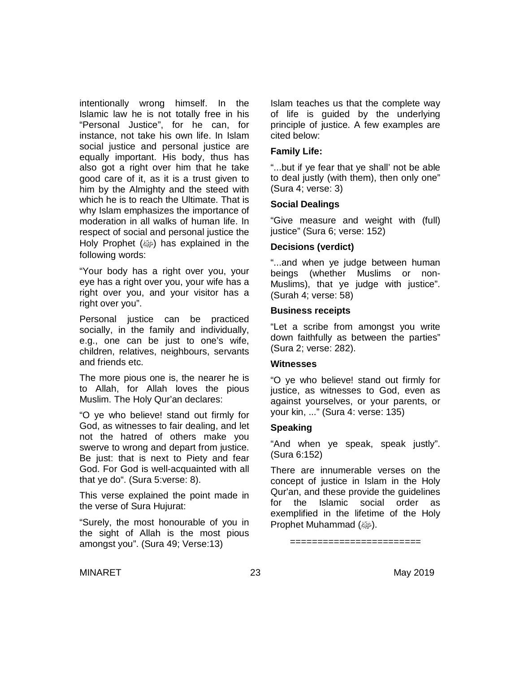intentionally wrong himself. In the Islamic law he is not totally free in his "Personal Justice", for he can, for instance, not take his own life. In Islam social justice and personal justice are equally important. His body, thus has also got a right over him that he take good care of it, as it is a trust given to him by the Almighty and the steed with which he is to reach the Ultimate. That is why Islam emphasizes the importance of moderation in all walks of human life. In respect of social and personal justice the Holy Prophet (@) has explained in the following words:

"Your body has a right over you, your eye has a right over you, your wife has a right over you, and your visitor has a right over you".

Personal justice can be practiced socially, in the family and individually, e.g., one can be just to one's wife, children, relatives, neighbours, servants and friends etc.

The more pious one is, the nearer he is to Allah, for Allah loves the pious Muslim. The Holy Qur'an declares:

"O ye who believe! stand out firmly for God, as witnesses to fair dealing, and let not the hatred of others make you swerve to wrong and depart from justice. Be just: that is next to Piety and fear God. For God is well-acquainted with all that ye do". (Sura 5:verse: 8).

This verse explained the point made in the verse of Sura Hujurat:

"Surely, the most honourable of you in the sight of Allah is the most pious amongst you". (Sura 49; Verse:13)

Islam teaches us that the complete way of life is guided by the underlying principle of justice. A few examples are cited below:

#### **Family Life:**

"...but if ye fear that ye shall' not be able to deal justly (with them), then only one" (Sura 4; verse: 3)

### **Social Dealings**

"Give measure and weight with (full) justice" (Sura 6; verse: 152)

### **Decisions (verdict)**

"...and when ye judge between human beings (whether Muslims or non-Muslims), that ye judge with justice". (Surah 4; verse: 58)

### **Business receipts**

"Let a scribe from amongst you write down faithfully as between the parties" (Sura 2; verse: 282).

#### **Witnesses**

"O ye who believe! stand out firmly for justice, as witnesses to God, even as against yourselves, or your parents, or your kin, ..." (Sura 4: verse: 135)

### **Speaking**

"And when ye speak, speak justly". (Sura 6:152)

There are innumerable verses on the concept of justice in Islam in the Holy Qur'an, and these provide the guidelines for the Islamic social order as exemplified in the lifetime of the Holy Prophet Muhammad (@).

=======================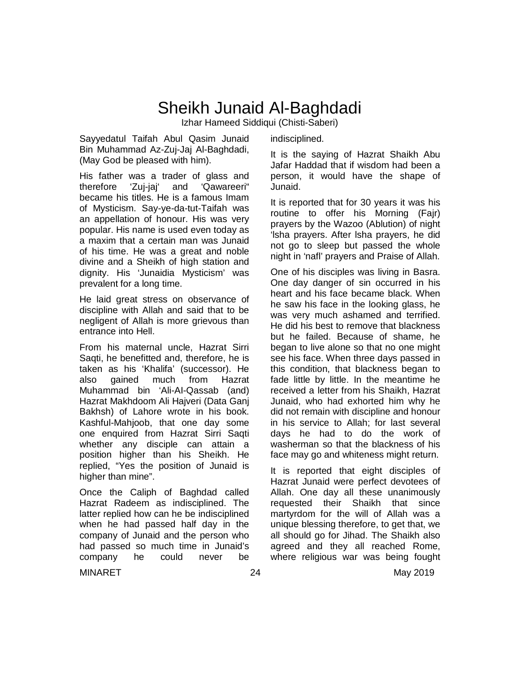### Sheikh Junaid Al-Baghdadi

Izhar Hameed Siddiqui (Chisti-Saberi)

Sayyedatul Taifah Abul Qasim Junaid Bin Muhammad Az-Zuj-Jaj Al-Baghdadi, (May God be pleased with him).

His father was a trader of glass and therefore 'Zuj-jaj' and 'Qawareeri" became his titles. He is a famous Imam of Mysticism. Say-ye-da-tut-Taifah was an appellation of honour. His was very popular. His name is used even today as a maxim that a certain man was Junaid of his time. He was a great and noble divine and a Sheikh of high station and dignity. His 'Junaidia Mysticism' was prevalent for a long time.

He laid great stress on observance of discipline with Allah and said that to be negligent of Allah is more grievous than entrance into Hell.

From his maternal uncle, Hazrat Sirri Saqti, he benefitted and, therefore, he is taken as his 'Khalifa' (successor). He also gained much from Hazrat Muhammad bin 'Ali-AI-Qassab (and) Hazrat Makhdoom Ali Hajveri (Data Ganj Bakhsh) of Lahore wrote in his book. Kashful-Mahjoob, that one day some one enquired from Hazrat Sirri Saqti whether any disciple can attain a position higher than his Sheikh. He replied, "Yes the position of Junaid is higher than mine".

Once the Caliph of Baghdad called Hazrat Radeem as indisciplined. The latter replied how can he be indisciplined when he had passed half day in the company of Junaid and the person who had passed so much time in Junaid's<br>company be could never be company he could never be

indisciplined.

It is the saying of Hazrat Shaikh Abu Jafar Haddad that if wisdom had been a person, it would have the shape of Junaid.

It is reported that for 30 years it was his routine to offer his Morning (Fajr) prayers by the Wazoo (Ablution) of night 'lsha prayers. After lsha prayers, he did not go to sleep but passed the whole night in 'nafl' prayers and Praise of Allah.

One of his disciples was living in Basra. One day danger of sin occurred in his heart and his face became black. When he saw his face in the looking glass, he was very much ashamed and terrified. He did his best to remove that blackness but he failed. Because of shame, he began to live alone so that no one might see his face. When three days passed in this condition, that blackness began to fade little by little. In the meantime he received a letter from his Shaikh, Hazrat Junaid, who had exhorted him why he did not remain with discipline and honour in his service to Allah; for last several days he had to do the work of washerman so that the blackness of his face may go and whiteness might return.

It is reported that eight disciples of Hazrat Junaid were perfect devotees of Allah. One day all these unanimously requested their Shaikh that since martyrdom for the will of Allah was a unique blessing therefore, to get that, we all should go for Jihad. The Shaikh also agreed and they all reached Rome, where religious war was being fought

MINARET 24 May 2019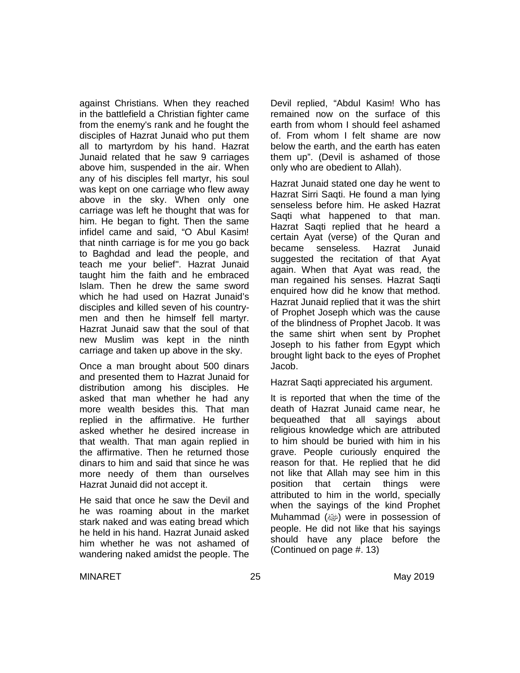against Christians. When they reached in the battlefield a Christian fighter came from the enemy's rank and he fought the disciples of Hazrat Junaid who put them all to martyrdom by his hand. Hazrat Junaid related that he saw 9 carriages above him, suspended in the air. When any of his disciples fell martyr, his soul was kept on one carriage who flew away above in the sky. When only one carriage was left he thought that was for him. He began to fight. Then the same infidel came and said, "O Abul Kasim! that ninth carriage is for me you go back to Baghdad and lead the people, and teach me your belief". Hazrat Junaid taught him the faith and he embraced Islam. Then he drew the same sword which he had used on Hazrat Junaid's disciples and killed seven of his countrymen and then he himself fell martyr. Hazrat Junaid saw that the soul of that new Muslim was kept in the ninth carriage and taken up above in the sky.

Once a man brought about 500 dinars and presented them to Hazrat Junaid for distribution among his disciples. He asked that man whether he had any more wealth besides this. That man replied in the affirmative. He further asked whether he desired increase in that wealth. That man again replied in the affirmative. Then he returned those dinars to him and said that since he was more needy of them than ourselves Hazrat Junaid did not accept it.

He said that once he saw the Devil and he was roaming about in the market stark naked and was eating bread which he held in his hand. Hazrat Junaid asked him whether he was not ashamed of wandering naked amidst the people. The Devil replied, "Abdul Kasim! Who has remained now on the surface of this earth from whom I should feel ashamed of. From whom I felt shame are now below the earth, and the earth has eaten them up". (Devil is ashamed of those only who are obedient to Allah).

Hazrat Junaid stated one day he went to Hazrat Sirri Saqti. He found a man lying senseless before him. He asked Hazrat Saqti what happened to that man. Hazrat Saqti replied that he heard a certain Ayat (verse) of the Quran and became senseless. Hazrat Junaid suggested the recitation of that Ayat again. When that Ayat was read, the man regained his senses. Hazrat Saqti enquired how did he know that method. Hazrat Junaid replied that it was the shirt of Prophet Joseph which was the cause of the blindness of Prophet Jacob. It was the same shirt when sent by Prophet Joseph to his father from Egypt which brought light back to the eyes of Prophet Jacob.

Hazrat Saqti appreciated his argument.

It is reported that when the time of the death of Hazrat Junaid came near, he bequeathed that all sayings about religious knowledge which are attributed to him should be buried with him in his grave. People curiously enquired the reason for that. He replied that he did not like that Allah may see him in this position that certain things were attributed to him in the world, specially when the sayings of the kind Prophet Muhammad (@) were in possession of people. He did not like that his sayings should have any place before the (Continued on page #. 13)

MINARET 25 2019 May 2019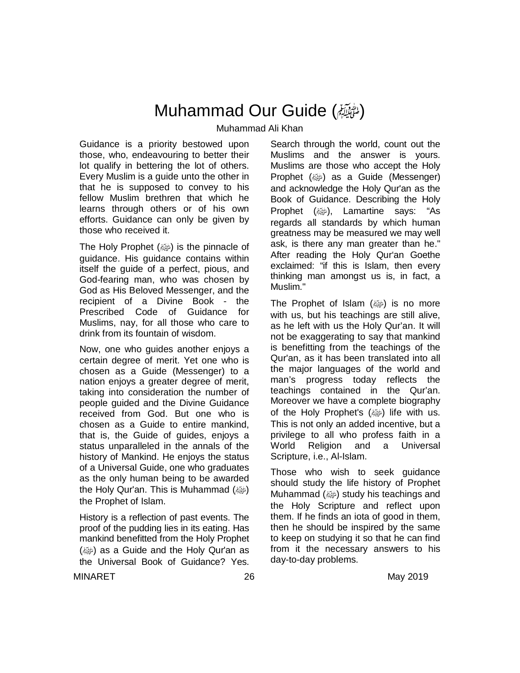### Muhammad Our Guide (صلى الله عليه وسلم(

Muhammad Ali Khan

Guidance is a priority bestowed upon those, who, endeavouring to better their lot qualify in bettering the lot of others. Every Muslim is a guide unto the other in that he is supposed to convey to his fellow Muslim brethren that which he learns through others or of his own efforts. Guidance can only be given by those who received it.

The Holy Prophet (@) is the pinnacle of guidance. His guidance contains within itself the guide of a perfect, pious, and God-fearing man, who was chosen by God as His Beloved Messenger, and the recipient of a Divine Book - the Prescribed Code of Guidance for Muslims, nay, for all those who care to drink from its fountain of wisdom.

Now, one who guides another enjoys a certain degree of merit. Yet one who is chosen as a Guide (Messenger) to a nation enjoys a greater degree of merit, taking into consideration the number of people guided and the Divine Guidance received from God. But one who is chosen as a Guide to entire mankind, that is, the Guide of guides, enjoys a status unparalleled in the annals of the history of Mankind. He enjoys the status of a Universal Guide, one who graduates as the only human being to be awarded the Holy Qur'an. This is Muhammad (ﷺ) the Prophet of Islam.

History is a reflection of past events. The proof of the pudding lies in its eating. Has mankind benefitted from the Holy Prophet (@) as a Guide and the Holy Qur'an as the Universal Book of Guidance? Yes.

Search through the world, count out the Muslims and the answer is yours. Muslims are those who accept the Holy Prophet (@) as a Guide (Messenger) and acknowledge the Holy Qur'an as the Book of Guidance. Describing the Holy Prophet (@), Lamartine says: "As regards all standards by which human greatness may be measured we may well ask, is there any man greater than he." After reading the Holy Qur'an Goethe exclaimed: "if this is Islam, then every thinking man amongst us is, in fact, a Muslim."

The Prophet of Islam  $(\frac{1}{2})$  is no more with us, but his teachings are still alive, as he left with us the Holy Qur'an. It will not be exaggerating to say that mankind is benefitting from the teachings of the Qur'an, as it has been translated into all the major languages of the world and man's progress today reflects the teachings contained in the Qur'an. Moreover we have a complete biography of the Holy Prophet's  $(\omega)$  life with us. This is not only an added incentive, but a privilege to all who profess faith in a World Religion and a Universal Scripture, i.e., Al-Islam.

Those who wish to seek guidance should study the life history of Prophet Muhammad  $(\omega)$  study his teachings and the Holy Scripture and reflect upon them. If he finds an iota of good in them, then he should be inspired by the same to keep on studying it so that he can find from it the necessary answers to his day-to-day problems.

MINARET 26 May 2019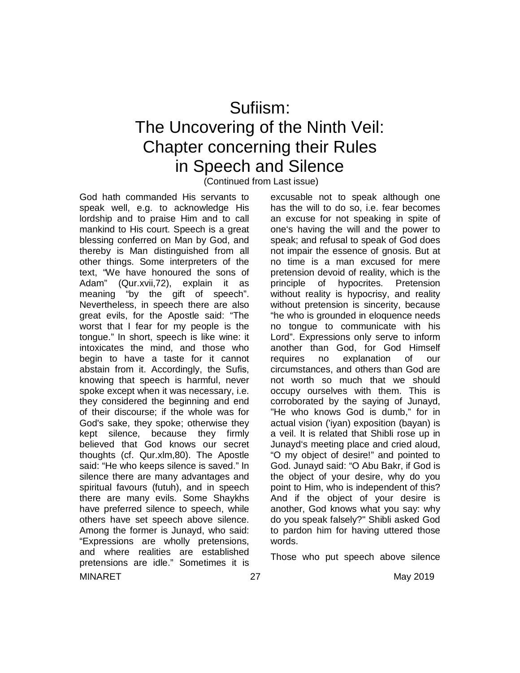# Sufiism: The Uncovering of the Ninth Veil: Chapter concerning their Rules in Speech and Silence

(Continued from Last issue)

MINARET 27 2019 God hath commanded His servants to speak well, e.g. to acknowledge His lordship and to praise Him and to call mankind to His court. Speech is a great blessing conferred on Man by God, and thereby is Man distinguished from all other things. Some interpreters of the text, "We have honoured the sons of Adam" (Qur.xvii,72), explain it as meaning "by the gift of speech". Nevertheless, in speech there are also great evils, for the Apostle said: "The worst that I fear for my people is the tongue." In short, speech is like wine: it intoxicates the mind, and those who begin to have a taste for it cannot abstain from it. Accordingly, the Sufis, knowing that speech is harmful, never spoke except when it was necessary, i.e. they considered the beginning and end of their discourse; if the whole was for God's sake, they spoke; otherwise they kept silence, because they firmly believed that God knows our secret thoughts (cf. Qur.xlm,80). The Apostle said: "He who keeps silence is saved." In silence there are many advantages and spiritual favours (futuh), and in speech there are many evils. Some Shaykhs have preferred silence to speech, while others have set speech above silence. Among the former is Junayd, who said: "Expressions are wholly pretensions, and where realities are established pretensions are idle." Sometimes it is

excusable not to speak although one has the will to do so, i.e. fear becomes an excuse for not speaking in spite of one's having the will and the power to speak; and refusal to speak of God does not impair the essence of gnosis. But at no time is a man excused for mere pretension devoid of reality, which is the principle of hypocrites. Pretension without reality is hypocrisy, and reality without pretension is sincerity, because "he who is grounded in eloquence needs no tongue to communicate with his Lord". Expressions only serve to inform another than God, for God Himself requires no explanation of our circumstances, and others than God are not worth so much that we should occupy ourselves with them. This is corroborated by the saying of Junayd, "He who knows God is dumb," for in actual vision ('iyan) exposition (bayan) is a veil. It is related that Shibli rose up in Junayd's meeting place and cried aloud, "O my object of desire!" and pointed to God. Junayd said: "O Abu Bakr, if God is the object of your desire, why do you point to Him, who is independent of this? And if the object of your desire is another, God knows what you say: why do you speak falsely?" Shibli asked God to pardon him for having uttered those words.

Those who put speech above silence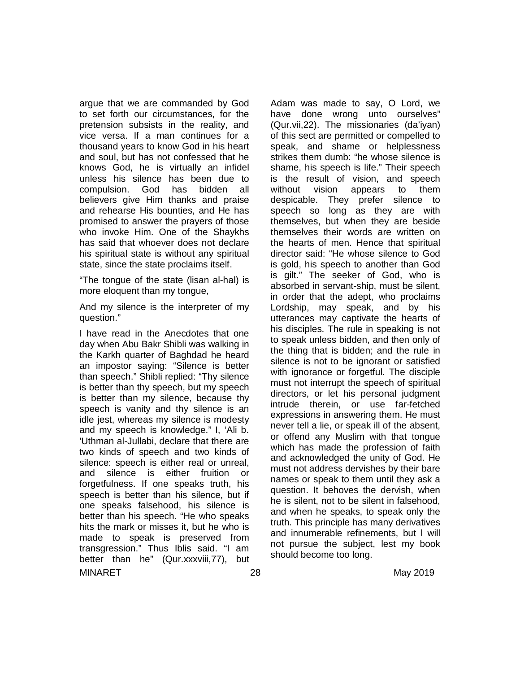argue that we are commanded by God to set forth our circumstances, for the pretension subsists in the reality, and vice versa. If a man continues for a thousand years to know God in his heart and soul, but has not confessed that he knows God, he is virtually an infidel unless his silence has been due to compulsion. God has bidden all believers give Him thanks and praise and rehearse His bounties, and He has promised to answer the prayers of those who invoke Him. One of the Shaykhs has said that whoever does not declare his spiritual state is without any spiritual state, since the state proclaims itself.

"The tongue of the state (lisan al-hal) is more eloquent than my tongue,

And my silence is the interpreter of my question."

MINARET 28 May 2019 I have read in the Anecdotes that one day when Abu Bakr Shibli was walking in the Karkh quarter of Baghdad he heard an impostor saying: "Silence is better than speech." Shibli replied: "Thy silence is better than thy speech, but my speech is better than my silence, because thy speech is vanity and thy silence is an idle jest, whereas my silence is modesty and my speech is knowledge." I, 'Ali b. 'Uthman al-Jullabi, declare that there are two kinds of speech and two kinds of silence: speech is either real or unreal, and silence is either fruition or forgetfulness. If one speaks truth, his speech is better than his silence, but if one speaks falsehood, his silence is better than his speech. "He who speaks hits the mark or misses it, but he who is made to speak is preserved from transgression." Thus Iblis said. "I am better than he" (Qur.xxxviii,77), but

Adam was made to say, O Lord, we have done wrong unto ourselves" (Qur.vii,22). The missionaries (da'iyan) of this sect are permitted or compelled to speak, and shame or helplessness strikes them dumb: "he whose silence is shame, his speech is life." Their speech is the result of vision, and speech without vision appears to them despicable. They prefer silence to speech so long as they are with themselves, but when they are beside themselves their words are written on the hearts of men. Hence that spiritual director said: "He whose silence to God is gold, his speech to another than God is gilt." The seeker of God, who is absorbed in servant-ship, must be silent, in order that the adept, who proclaims Lordship, may speak, and by his utterances may captivate the hearts of his disciples. The rule in speaking is not to speak unless bidden, and then only of the thing that is bidden; and the rule in silence is not to be ignorant or satisfied with ignorance or forgetful. The disciple must not interrupt the speech of spiritual directors, or let his personal judgment intrude therein, or use far-fetched expressions in answering them. He must never tell a lie, or speak ill of the absent, or offend any Muslim with that tongue which has made the profession of faith and acknowledged the unity of God. He must not address dervishes by their bare names or speak to them until they ask a question. It behoves the dervish, when he is silent, not to be silent in falsehood, and when he speaks, to speak only the truth. This principle has many derivatives and innumerable refinements, but l will not pursue the subject, lest my book should become too long.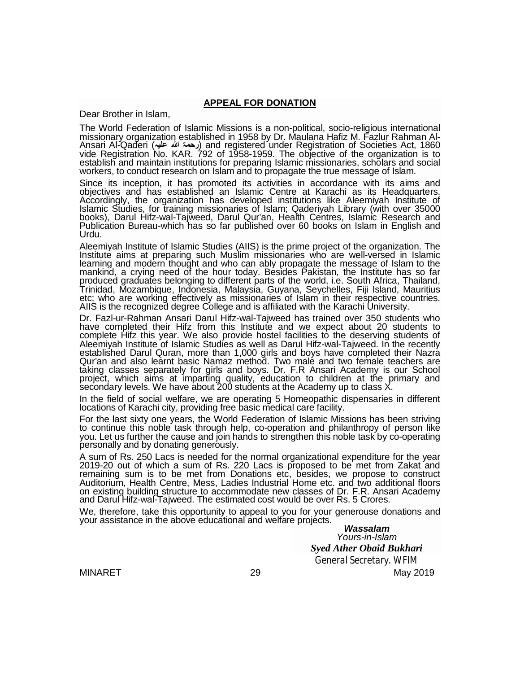#### **APPEAL FOR DONATION**

Dear Brother in Islam,

The World Federation of Islamic Missions is a non-political, socio-religious international missionary organization established in 1958 by Dr. Maulana Hafiz M. Fazlur Rahman Al-Ansari Al-Qaderi (**علیہ الله رحمۃ** (and registered under Registration of Societies Act, 1860 vide Registration No. KAR. 792 of 1958-1959. The objective of the organization is to establish and maintain institutions for preparing Islamic missionaries, scholars and social workers, to conduct research on Islam and to propagate the true message of Islam.

Since its inception, it has promoted its activities in accordance with its aims and objectives and has established an Islamic Centre at Karachi as its Headquarters. Accordingly, the organization has developed institutions like Aleemiyah Institute of Islamic Studies, for training missionaries of Islam; Qaderiyah Library (with over 35000 books), Darul Hifz-wal-Tajweed, Darul Qur'an, Health Centres, Islamic Research and Publication Bureau-which has so far published over 60 books on Islam in English and Urdu.

Aleemiyah Institute of Islamic Studies (AIIS) is the prime project of the organization. The Institute aims at preparing such Muslim missionaries who are well-versed in Islamic learning and modern thought and who can ably propagate the message of Islam to the mankind, a crying need of the hour today. Besides Pakistan, the Institute has so far produced graduates belonging to different parts of the world, i.e. South Africa, Thailand, Trinidad, Mozambique, Indonesia, Malaysia, Guyana, Seychelles, Fiji Island, Mauritius etc; who are working effectively as missionaries of Islam in their respective countries. AIIS is the recognized degree College and is affiliated with the Karachi University.

Dr. Fazl-ur-Rahman Ansari Darul Hifz-wal-Tajweed has trained over 350 students who have completed their Hifz from this Institute and we expect about 20 students to complete Hifz this year. We also provide hostel facilities to the deserving students of Aleemiyah Institute of Islamic Studies as well as Darul Hifz-wal-Tajweed. In the recently established Darul Quran, more than 1,000 girls and boys have completed their Nazra Qur'an and also learnt basic Namaz method. Two male and two female teachers are taking classes separately for girls and boys. Dr. F.R Ansari Academy is our School project, which aims at imparting quality, education to children at the primary and secondary levels. We have about 200 students at the Academy up to class X.

In the field of social welfare, we are operating 5 Homeopathic dispensaries in different locations of Karachi city, providing free basic medical care facility.

For the last sixty one years, the World Federation of Islamic Missions has been striving to continue this noble task through help, co-operation and philanthropy of person like you. Let us further the cause and join hands to strengthen this noble task by co-operating personally and by donating generously.

A sum of Rs. 250 Lacs is needed for the normal organizational expenditure for the year 2019-20 out of which a sum of Rs. 220 Lacs is proposed to be met from Zakat and remaining sum is to be met from Donations etc, besides, we propose to construct Auditorium, Health Centre, Mess, Ladies Industrial Home etc. and two additional floors on existing building structure to accommodate new classes of Dr. F.R. Ansari Academy and Darul Hifz-wal-Tajweed. The estimated cost would be over Rs. 5 Crores.

We, therefore, take this opportunity to appeal to you for your generouse donations and your assistance in the above educational and welfare projects.

> *Wassalam Yours-in-Islam Syed Ather Obaid Bukhari General Secretary. WFIM*

MINARET 29 May 2019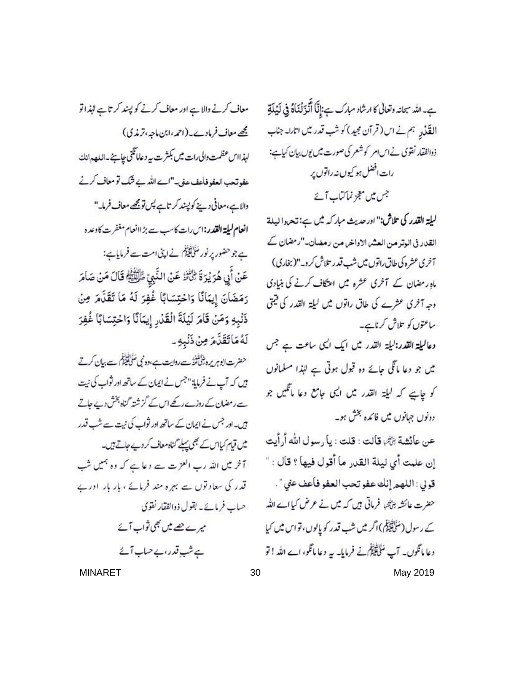ہے۔ اللہ سمانہ وتعالٰی کا ارشاد مبارک ہے:إِنَّا أَنَّذَ لَنَاهُ فِي لَيُلَةِ القَذْنِهِ ہم نے اس (قرآن مجید) کوشب قدر میں اتارا۔ جناب ذوالفقار نقوى نے اس امر كوشعر كى صورت ميں يوں بيان كياہے: رات افضل ہو کیوں نہ راتوں پر جس میں معجز نماکتاب آئے

ليلة القدر كي تلاش:" ادر حديث مباركه مين ہے: تحددا ليلة القدر في الوتر من العشر الاواخر من رمضان-"رمضان ك آخری عشره کی طاق راتوں میں شپ قدر تلاش کرو۔"(بخاری) ماہ ر مضان کے آخری عشرہ میں اعتکاف کرنے کی بنیادی وجہ آخری عشرے کی طاق راتوں میں لیلة القدر کی قیمتی ساعتوں کو تلاش کرناہے۔

دعالیلۃ القدر:لیلۃ القدر میں ایک ایک ساعت ہے جس میں جو دعا مانگی جائے وہ قبول ہوتی ہے لہٰذا مسلمانوں کو جاہے کہ لیلۃ القدر میں ایمی جامع دعا ماتگیں جو دونوں جہانوں میں فائدہ بخش ہو۔

عن عائشة بْأَتْبَ قالت : قلت : يا رسول الله أرأيت إن علمت أي ليلة القدر ما أقول فيها ؟ قال : " قولي: اللهم إنك عفو تحب العفو فأعف عني ". حضرت عائشہ بڑخہا فرماتی ہیں کہ میں نے عرض کیااے اللہ کے رسول (مَنَلِیْتِیْکِمْ) اگر میں شب قدر کو یالوں، تو اس میں کیا دعا مانگوں۔ آپ سُلِکَلِیْکُلُّ نے فرمایا۔ یہ دعا مانگو، اے اللہ ! تو MINARET 30 May 2019

معاف کرنے والا ہے اور معاف کرنے کو پسند کرتاہے لہٰذ اتو مجھے معاف فرمادے۔ (احمہ ،ابن ماجہ، تر مذی) لهذااس عظمت والى رات ميس بكثرت بيه دعاماتكنى حيايج -اللعدمانك عفوتهب العفو فاعف على-"اسے اللہ بے شک تو معاف کرنے والاہے،معافی دینے کو پیند کرتاہے پس تومیح معاف فرما۔" انعام ليلة القدر:اس رات كاسب سے بڑ اانعام مغفرت كاوعده ہے جو حضور پر نور مُنَاتِقِیْکُم نے اپنی امت سے فرمایاہے: عَنْ أَبِي هُرَيْرَةَ ثِلْأَنْزُ عَنْ النَّبِيّ طِّلْقَيُّمْ قَالَ مَنْ صَامَرَ رَمَضَانَ إِيمَانًا وَاحْتِسَابًا غُفِرَ لَهُ مَا تَقَدَّمَ مِنْ ذَنْبِهِ وَمَنْ قَامَ لَيْلَةَ الْقَدْرِ إِيمَانًا وَاخْتِسَابًا غُفِرَ لَهُ مَاتَقَنَّمَ مِنْ ذَلْبِهِ ۔ حضرت ابوہر پرہ ڈلٹینئڈ سےروایت ہے،وہ نبی ضَلَیْتَیْنِغُ سے بیان کرتے یں کہ آپ نے فرمایا: "جس نے ایمان کے ساتھ اور نواب کی نیت ے رمضان کے روزے رکھے اس کے گزشتہ گناہ بخش دیے جاتے ہیں۔اور جس نے ایمان کے ساتھ اور ثواب کی نیت سے شب قدر میں قیام کیا اس کے بھی پہلے گناہ معاف کر دیے جاتے ہیں۔ آخر میں اللہ رب العزت ہے دعا ہے کہ وہ ہمیں شب قدر کی سعاد توں سے بہرہ مند فرمائے ، بار بار اور بے حساب فرمائے۔ بقول ذوالفقار نقوی میرے جے میں بھی ثواب آئے ہے شب تدر، بے صاب آئے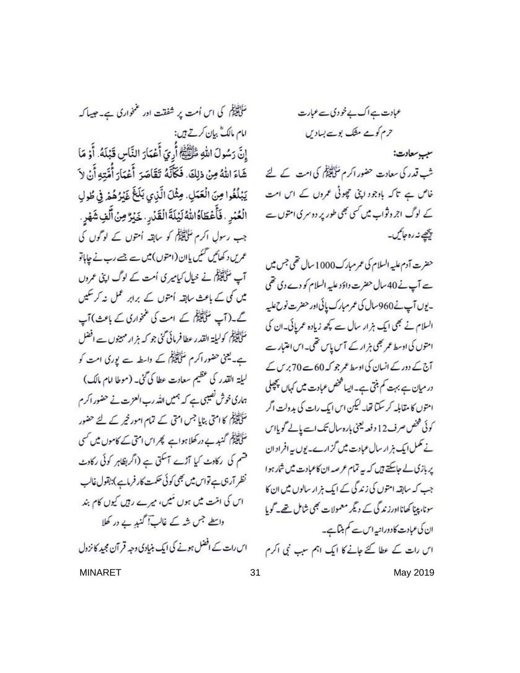سَلَمِ یَعْلَیْکُمْ کِی اس اُمت پر شفقت اور عمنخواری ہے۔ جیسا کہ امام مالک ؓ بیان کرتے ہیں: إِنَّ رَسُولَ اللهِ ظَلِّظَهُمْ أُرِيَ أَعْمَارَ النَّاسِ قَبْلَهُ. أَوْ مَا شَاءَ اللهُ مِنْ ذلِكَ. فَكَأَنَّهُ تَقَاصَرَ أَعْمَارَ أُمِّتِهِ أَنْ لاَ يَبْلُغُوا مِنَ الْعَمَلِ. مِثْلَ الَّذِي بَلَغَ غَيْرُهُمْ فِي طُولِ الْعُبْرِ . فَأَعْطَاهُ اللَّهُ لَيْلَةَ الْقَدْرِ . خَيْرٌ مِنْ أَلْفِ شَهْرِ . جب رسول اکرم مُنَاتِقَةً کو سابقہ اُمتوں کے لوگوں کی عمریں د کھائیں گئیں یاان (امتوں) میں ہے جسے رب نے چاہاتو آپ مُخَلِقَیْکُم نے خیال کیامیری اُمت کے لوگ اپنی عمروں میں کی کے باعث سابقہ اُمتوں کے برابر عمل نہ کر سکیں کے۔(آپ مُنْاتِیْٹی کے امت کی عملواری کے باعث) آپ مُنَاتِقِيَّةً / وليلة القدر عطا فرمائي گڼي جو که بز ارمهينوں سے افضل ہے۔ یعنی حضور اکرم سُلکیلیگی کے واسطہ سے یوری امت کو ليلة القدر كى عظيم سعادت عطا كى كنى- (موطا امام مالك) ہماری خوش نصیبی ہے کہ ہمیں اللہ رب العزت نے حضور اکر م سَلَیْتِکُلُّ کا امتی بنایا جس امتی کے تمام امور خیر کے لئے حضور مَثَلَ الْمَيْنَاكُمْ گنبوے در کھلاہواہے کپھر اس امتی کے کاموں میں <sup>کس</sup>ی قسم کی رکاوٹ کیا آڑے آسکتی ہے (اگر بظاہر کوئی رکاوٹ نظر آرجی ہے تواس میں بھی کوئی حکمت کار فرماہے):بقول غالب اس کی امنت میں ہوں میں، میرے رہیں کیوں کام بند داسطے جس شہ کے غالب آگنبد بے در کھلا اس رات کے افضل ہونے کی ایک بنیادی وجہ قر آن مجید کانزول

عبادت ہے اک بے خودی سے عبارت حرم کومے مثلک بوسے بسادیں

سبب سعادت: شب قدر کی سعادت حضور اکرم سَلَّاتِیْنِکُم کی امت کے لئے خاص ہے تاکہ بادجود اپنی چوٹی عمروں کے اس امت کے لوگ اجروثواب میں کسی بھی طور پر دوسری امتوں ہے پیچھے نہ رہ جا<sub>گی</sub>ں۔

حضرت آدم عليه السلام کی عمر مبارک 1000 سال تھی جس میں ہے آپ نے 40 سال حضرت داؤد علیہ السلام کو دے دی تھی -يوں آپ نے960سال کی عمر مبارک پائی اور حضرت نوح عليہ السلام نے بھی ایک ہزار سال سے کچھ زیادہ عمریائی۔ان کی امتوں کی اوسط عمر بھی ہزار کے آس پاس تھی۔اس اعتبار ہے آج کے دور کے انسان کی اوسط عمر جو کہ 60سے 70 برس کے در میان ہے بہت کم بنتی ہے۔ایسا کمخص عبادت میں کہاں پچھلی امتوں کا مقابلہ کر سکتا تھا۔ کیکن اس ایک رات کی بدولت اگر کوئی شخص صرف12 دفعہ یعنی بارہ سال تک اسے پالے گویااس نے تکمل ایک ہز ارسال عبادت میں گزارے۔یوں یہ افراد ان پر بازی لے جاسکتے ہیں کہ یہ تمام عرصہ ان کاعبادت میں شارہوا جب کہ سابقہ امتوں کی زندگی کے ایک ہز ار سالوں میں ان کا سونا، پینا کھانااورز ندگی کے دیگر معمولات بھی شامل تھے۔ گویا ان کی عبادت کادورانیہ اس سے کم بنیاہے۔ اس رات کے عطا کئے جانے کا ایک اہم سبب نبی اکرم MINARET 31 31 May 2019